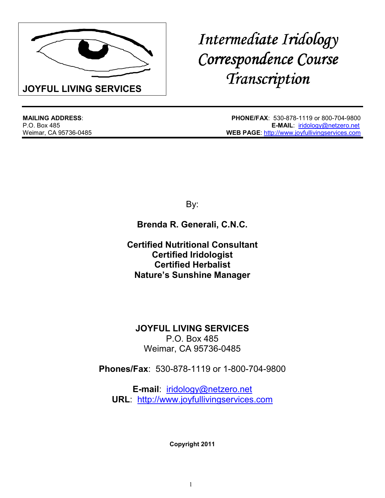

# *Intermediate Iridology Correspondence Course Correspondence Course Transcription*

**MAILING ADDRESS**: **PHONE/FAX**: 530-878-1119 or 800-704-9800 **E-MAIL: iridology@netzero.net** Weimar, CA 95736-0485 **WEB PAGE**: http://www.joyfullivingservices.com

By:

**Brenda R. Generali, C.N.C.**

**Certified Nutritional Consultant Certified Iridologist Certified Herbalist Nature's Sunshine Manager**

**JOYFUL LIVING SERVICES** P.O. Box 485 Weimar, CA 95736-0485

**Phones/Fax**: 530-878-1119 or 1-800-704-9800

**E-mail**: iridology@netzero.net **URL**: http://www.joyfullivingservices.com

**Copyright 2011**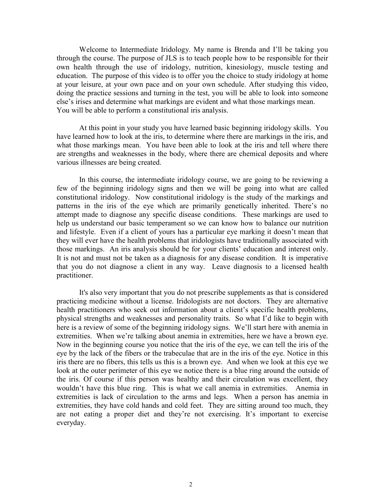Welcome to Intermediate Iridology. My name is Brenda and I'll be taking you through the course. The purpose of JLS is to teach people how to be responsible for their own health through the use of iridology, nutrition, kinesiology, muscle testing and education. The purpose of this video is to offer you the choice to study iridology at home at your leisure, at your own pace and on your own schedule. After studying this video, doing the practice sessions and turning in the test, you will be able to look into someone else's irises and determine what markings are evident and what those markings mean. You will be able to perform a constitutional iris analysis.

 At this point in your study you have learned basic beginning iridology skills. You have learned how to look at the iris, to determine where there are markings in the iris, and what those markings mean. You have been able to look at the iris and tell where there are strengths and weaknesses in the body, where there are chemical deposits and where various illnesses are being created.

 In this course, the intermediate iridology course, we are going to be reviewing a few of the beginning iridology signs and then we will be going into what are called constitutional iridology. Now constitutional iridology is the study of the markings and patterns in the iris of the eye which are primarily genetically inherited. There's no attempt made to diagnose any specific disease conditions. These markings are used to help us understand our basic temperament so we can know how to balance our nutrition and lifestyle. Even if a client of yours has a particular eye marking it doesn't mean that they will ever have the health problems that iridologists have traditionally associated with those markings. An iris analysis should be for your clients' education and interest only. It is not and must not be taken as a diagnosis for any disease condition. It is imperative that you do not diagnose a client in any way. Leave diagnosis to a licensed health practitioner.

 It's also very important that you do not prescribe supplements as that is considered practicing medicine without a license. Iridologists are not doctors. They are alternative health practitioners who seek out information about a client's specific health problems, physical strengths and weaknesses and personality traits. So what I'd like to begin with here is a review of some of the beginning iridology signs. We'll start here with anemia in extremities. When we're talking about anemia in extremities, here we have a brown eye. Now in the beginning course you notice that the iris of the eye, we can tell the iris of the eye by the lack of the fibers or the trabeculae that are in the iris of the eye. Notice in this iris there are no fibers, this tells us this is a brown eye. And when we look at this eye we look at the outer perimeter of this eye we notice there is a blue ring around the outside of the iris. Of course if this person was healthy and their circulation was excellent, they wouldn't have this blue ring. This is what we call anemia in extremities. Anemia in extremities is lack of circulation to the arms and legs. When a person has anemia in extremities, they have cold hands and cold feet. They are sitting around too much, they are not eating a proper diet and they're not exercising. It's important to exercise everyday.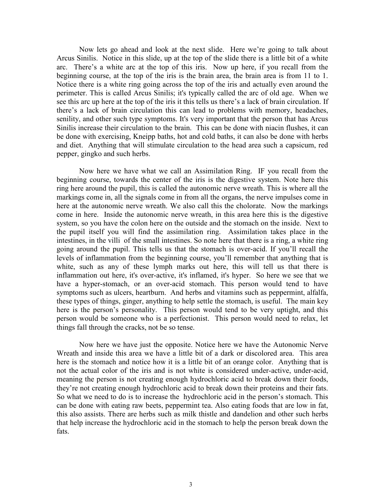Now lets go ahead and look at the next slide. Here we're going to talk about Arcus Sinilis. Notice in this slide, up at the top of the slide there is a little bit of a white arc. There's a white arc at the top of this iris. Now up here, if you recall from the beginning course, at the top of the iris is the brain area, the brain area is from 11 to 1. Notice there is a white ring going across the top of the iris and actually even around the perimeter. This is called Arcus Sinilis; it's typically called the arc of old age. When we see this arc up here at the top of the iris it this tells us there's a lack of brain circulation. If there's a lack of brain circulation this can lead to problems with memory, headaches, senility, and other such type symptoms. It's very important that the person that has Arcus Sinilis increase their circulation to the brain. This can be done with niacin flushes, it can be done with exercising, Kneipp baths, hot and cold baths, it can also be done with herbs and diet. Anything that will stimulate circulation to the head area such a capsicum, red pepper, gingko and such herbs.

 Now here we have what we call an Assimilation Ring. IF you recall from the beginning course, towards the center of the iris is the digestive system. Note here this ring here around the pupil, this is called the autonomic nerve wreath. This is where all the markings come in, all the signals come in from all the organs, the nerve impulses come in here at the autonomic nerve wreath. We also call this the cholorate. Now the markings come in here. Inside the autonomic nerve wreath, in this area here this is the digestive system, so you have the colon here on the outside and the stomach on the inside. Next to the pupil itself you will find the assimilation ring. Assimilation takes place in the intestines, in the villi of the small intestines. So note here that there is a ring, a white ring going around the pupil. This tells us that the stomach is over-acid. If you'll recall the levels of inflammation from the beginning course, you'll remember that anything that is white, such as any of these lymph marks out here, this will tell us that there is inflammation out here, it's over-active, it's inflamed, it's hyper. So here we see that we have a hyper-stomach, or an over-acid stomach. This person would tend to have symptoms such as ulcers, heartburn. And herbs and vitamins such as peppermint, alfalfa, these types of things, ginger, anything to help settle the stomach, is useful. The main key here is the person's personality. This person would tend to be very uptight, and this person would be someone who is a perfectionist. This person would need to relax, let things fall through the cracks, not be so tense.

 Now here we have just the opposite. Notice here we have the Autonomic Nerve Wreath and inside this area we have a little bit of a dark or discolored area. This area here is the stomach and notice how it is a little bit of an orange color. Anything that is not the actual color of the iris and is not white is considered under-active, under-acid, meaning the person is not creating enough hydrochloric acid to break down their foods, they're not creating enough hydrochloric acid to break down their proteins and their fats. So what we need to do is to increase the hydrochloric acid in the person's stomach. This can be done with eating raw beets, peppermint tea. Also eating foods that are low in fat, this also assists. There are herbs such as milk thistle and dandelion and other such herbs that help increase the hydrochloric acid in the stomach to help the person break down the fats.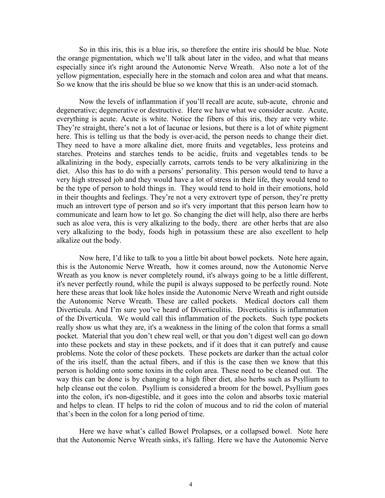So in this iris, this is a blue iris, so therefore the entire iris should be blue. Note the orange pigmentation, which we'll talk about later in the video, and what that means especially since it's right around the Autonomic Nerve Wreath. Also note a lot of the yellow pigmentation, especially here in the stomach and colon area and what that means. So we know that the iris should be blue so we know that this is an under-acid stomach.

 Now the levels of inflammation if you'll recall are acute, sub-acute, chronic and degenerative; degenerative or destructive. Here we have what we consider acute. Acute, everything is acute. Acute is white. Notice the fibers of this iris, they are very white. They're straight, there's not a lot of lacunae or lesions, but there is a lot of white pigment here. This is telling us that the body is over-acid, the person needs to change their diet. They need to have a more alkaline diet, more fruits and vegetables, less proteins and starches. Proteins and starches tends to be acidic, fruits and vegetables tends to be alkalinizing in the body, especially carrots, carrots tends to be very alkalinizing in the diet. Also this has to do with a persons' personality. This person would tend to have a very high stressed job and they would have a lot of stress in their life, they would tend to be the type of person to hold things in. They would tend to hold in their emotions, hold in their thoughts and feelings. They're not a very extrovert type of person, they're pretty much an introvert type of person and so it's very important that this person learn how to communicate and learn how to let go. So changing the diet will help, also there are herbs such as aloe vera, this is very alkalizing to the body, there are other herbs that are also very alkalizing to the body, foods high in potassium these are also excellent to help alkalize out the body.

 Now here, I'd like to talk to you a little bit about bowel pockets. Note here again, this is the Autonomic Nerve Wreath, how it comes around, now the Autonomic Nerve Wreath as you know is never completely round, it's always going to be a little different, it's never perfectly round, while the pupil is always supposed to be perfectly round. Note here these areas that look like holes inside the Autonomic Nerve Wreath and right outside the Autonomic Nerve Wreath. These are called pockets. Medical doctors call them Diverticula. And I'm sure you've heard of Diverticulitis. Diverticulitis is inflammation of the Diverticula. We would call this inflammation of the pockets. Such type pockets really show us what they are, it's a weakness in the lining of the colon that forms a small pocket. Material that you don't chew real well, or that you don't digest well can go down into these pockets and stay in these pockets, and if it does that it can putrefy and cause problems. Note the color of these pockets. These pockets are darker than the actual color of the iris itself, than the actual fibers, and if this is the case then we know that this person is holding onto some toxins in the colon area. These need to be cleaned out. The way this can be done is by changing to a high fiber diet, also herbs such as Psyllium to help cleanse out the colon. Psyllium is considered a broom for the bowel, Psyllium goes into the colon, it's non-digestible, and it goes into the colon and absorbs toxic material and helps to clean. IT helps to rid the colon of mucous and to rid the colon of material that's been in the colon for a long period of time.

 Here we have what's called Bowel Prolapses, or a collapsed bowel. Note here that the Autonomic Nerve Wreath sinks, it's falling. Here we have the Autonomic Nerve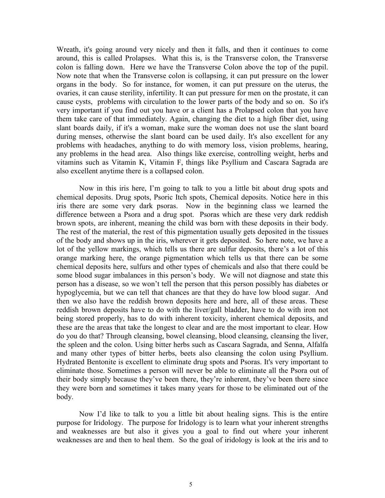Wreath, it's going around very nicely and then it falls, and then it continues to come around, this is called Prolapses. What this is, is the Transverse colon, the Transverse colon is falling down. Here we have the Transverse Colon above the top of the pupil. Now note that when the Transverse colon is collapsing, it can put pressure on the lower organs in the body. So for instance, for women, it can put pressure on the uterus, the ovaries, it can cause sterility, infertility. It can put pressure for men on the prostate, it can cause cysts, problems with circulation to the lower parts of the body and so on. So it's very important if you find out you have or a client has a Prolapsed colon that you have them take care of that immediately. Again, changing the diet to a high fiber diet, using slant boards daily, if it's a woman, make sure the woman does not use the slant board during menses, otherwise the slant board can be used daily. It's also excellent for any problems with headaches, anything to do with memory loss, vision problems, hearing, any problems in the head area. Also things like exercise, controlling weight, herbs and vitamins such as Vitamin K, Vitamin F, things like Psyllium and Cascara Sagrada are also excellent anytime there is a collapsed colon.

 Now in this iris here, I'm going to talk to you a little bit about drug spots and chemical deposits. Drug spots, Psoric Itch spots, Chemical deposits. Notice here in this iris there are some very dark psoras. Now in the beginning class we learned the difference between a Psora and a drug spot. Psoras which are these very dark reddish brown spots, are inherent, meaning the child was born with these deposits in their body. The rest of the material, the rest of this pigmentation usually gets deposited in the tissues of the body and shows up in the iris, wherever it gets deposited. So here note, we have a lot of the yellow markings, which tells us there are sulfur deposits, there's a lot of this orange marking here, the orange pigmentation which tells us that there can be some chemical deposits here, sulfurs and other types of chemicals and also that there could be some blood sugar imbalances in this person's body. We will not diagnose and state this person has a disease, so we won't tell the person that this person possibly has diabetes or hypoglycemia, but we can tell that chances are that they do have low blood sugar. And then we also have the reddish brown deposits here and here, all of these areas. These reddish brown deposits have to do with the liver/gall bladder, have to do with iron not being stored properly, has to do with inherent toxicity, inherent chemical deposits, and these are the areas that take the longest to clear and are the most important to clear. How do you do that? Through cleansing, bowel cleansing, blood cleansing, cleansing the liver, the spleen and the colon. Using bitter herbs such as Cascara Sagrada, and Senna, Alfalfa and many other types of bitter herbs, beets also cleansing the colon using Psyllium. Hydrated Bentonite is excellent to eliminate drug spots and Psoras. It's very important to eliminate those. Sometimes a person will never be able to eliminate all the Psora out of their body simply because they've been there, they're inherent, they've been there since they were born and sometimes it takes many years for those to be eliminated out of the body.

 Now I'd like to talk to you a little bit about healing signs. This is the entire purpose for Iridology. The purpose for Iridology is to learn what your inherent strengths and weaknesses are but also it gives you a goal to find out where your inherent weaknesses are and then to heal them. So the goal of iridology is look at the iris and to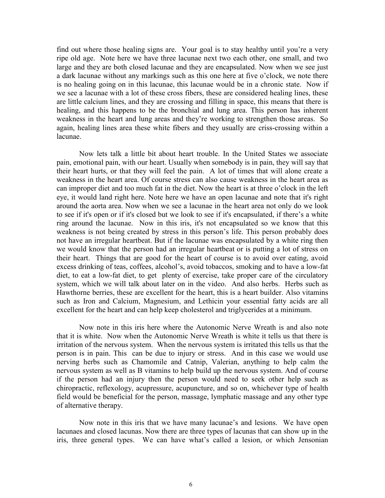find out where those healing signs are. Your goal is to stay healthy until you're a very ripe old age. Note here we have three lacunae next two each other, one small, and two large and they are both closed lacunae and they are encapsulated. Now when we see just a dark lacunae without any markings such as this one here at five o'clock, we note there is no healing going on in this lacunae, this lacunae would be in a chronic state. Now if we see a lacunae with a lot of these cross fibers, these are considered healing lines, these are little calcium lines, and they are crossing and filling in space, this means that there is healing, and this happens to be the bronchial and lung area. This person has inherent weakness in the heart and lung areas and they're working to strengthen those areas. So again, healing lines area these white fibers and they usually are criss-crossing within a lacunae.

 Now lets talk a little bit about heart trouble. In the United States we associate pain, emotional pain, with our heart. Usually when somebody is in pain, they will say that their heart hurts, or that they will feel the pain. A lot of times that will alone create a weakness in the heart area. Of course stress can also cause weakness in the heart area as can improper diet and too much fat in the diet. Now the heart is at three o'clock in the left eye, it would land right here. Note here we have an open lacunae and note that it's right around the aorta area. Now when we see a lacunae in the heart area not only do we look to see if it's open or if it's closed but we look to see if it's encapsulated, if there's a white ring around the lacunae. Now in this iris, it's not encapsulated so we know that this weakness is not being created by stress in this person's life. This person probably does not have an irregular heartbeat. But if the lacunae was encapsulated by a white ring then we would know that the person had an irregular heartbeat or is putting a lot of stress on their heart. Things that are good for the heart of course is to avoid over eating, avoid excess drinking of teas, coffees, alcohol's, avoid tobaccos, smoking and to have a low-fat diet, to eat a low-fat diet, to get plenty of exercise, take proper care of the circulatory system, which we will talk about later on in the video. And also herbs. Herbs such as Hawthorne berries, these are excellent for the heart, this is a heart builder. Also vitamins such as Iron and Calcium, Magnesium, and Lethicin your essential fatty acids are all excellent for the heart and can help keep cholesterol and triglycerides at a minimum.

 Now note in this iris here where the Autonomic Nerve Wreath is and also note that it is white. Now when the Autonomic Nerve Wreath is white it tells us that there is irritation of the nervous system. When the nervous system is irritated this tells us that the person is in pain. This can be due to injury or stress. And in this case we would use nerving herbs such as Chamomile and Catnip, Valerian, anything to help calm the nervous system as well as B vitamins to help build up the nervous system. And of course if the person had an injury then the person would need to seek other help such as chiropractic, reflexology, acupressure, acupuncture, and so on, whichever type of health field would be beneficial for the person, massage, lymphatic massage and any other type of alternative therapy.

 Now note in this iris that we have many lacunae's and lesions. We have open lacunaes and closed lacunas. Now there are three types of lacunas that can show up in the iris, three general types. We can have what's called a lesion, or which Jensonian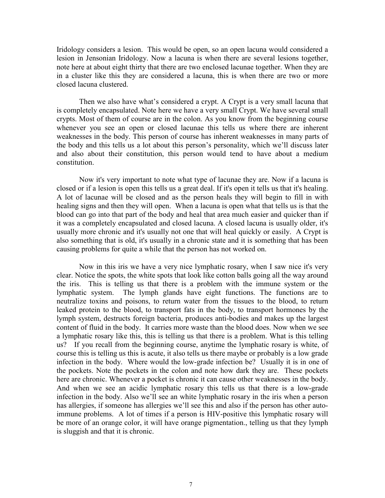Iridology considers a lesion. This would be open, so an open lacuna would considered a lesion in Jensonian Iridology. Now a lacuna is when there are several lesions together, note here at about eight thirty that there are two enclosed lacunae together. When they are in a cluster like this they are considered a lacuna, this is when there are two or more closed lacuna clustered.

 Then we also have what's considered a crypt. A Crypt is a very small lacuna that is completely encapsulated. Note here we have a very small Crypt. We have several small crypts. Most of them of course are in the colon. As you know from the beginning course whenever you see an open or closed lacunae this tells us where there are inherent weaknesses in the body. This person of course has inherent weaknesses in many parts of the body and this tells us a lot about this person's personality, which we'll discuss later and also about their constitution, this person would tend to have about a medium constitution.

 Now it's very important to note what type of lacunae they are. Now if a lacuna is closed or if a lesion is open this tells us a great deal. If it's open it tells us that it's healing. A lot of lacunae will be closed and as the person heals they will begin to fill in with healing signs and then they will open. When a lacuna is open what that tells us is that the blood can go into that part of the body and heal that area much easier and quicker than if it was a completely encapsulated and closed lacuna. A closed lacuna is usually older, it's usually more chronic and it's usually not one that will heal quickly or easily. A Crypt is also something that is old, it's usually in a chronic state and it is something that has been causing problems for quite a while that the person has not worked on.

 Now in this iris we have a very nice lymphatic rosary, when I saw nice it's very clear. Notice the spots, the white spots that look like cotton balls going all the way around the iris. This is telling us that there is a problem with the immune system or the lymphatic system. The lymph glands have eight functions. The functions are to neutralize toxins and poisons, to return water from the tissues to the blood, to return leaked protein to the blood, to transport fats in the body, to transport hormones by the lymph system, destructs foreign bacteria, produces anti-bodies and makes up the largest content of fluid in the body. It carries more waste than the blood does. Now when we see a lymphatic rosary like this, this is telling us that there is a problem. What is this telling us? If you recall from the beginning course, anytime the lymphatic rosary is white, of course this is telling us this is acute, it also tells us there maybe or probably is a low grade infection in the body. Where would the low-grade infection be? Usually it is in one of the pockets. Note the pockets in the colon and note how dark they are. These pockets here are chronic. Whenever a pocket is chronic it can cause other weaknesses in the body. And when we see an acidic lymphatic rosary this tells us that there is a low-grade infection in the body. Also we'll see an white lymphatic rosary in the iris when a person has allergies, if someone has allergies we'll see this and also if the person has other autoimmune problems. A lot of times if a person is HIV-positive this lymphatic rosary will be more of an orange color, it will have orange pigmentation., telling us that they lymph is sluggish and that it is chronic.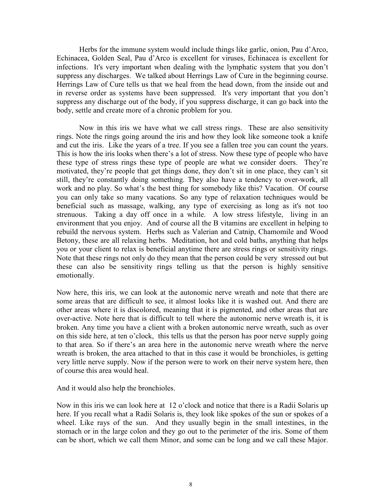Herbs for the immune system would include things like garlic, onion, Pau d'Arco, Echinacea, Golden Seal, Pau d'Arco is excellent for viruses, Echinacea is excellent for infections. It's very important when dealing with the lymphatic system that you don't suppress any discharges. We talked about Herrings Law of Cure in the beginning course. Herrings Law of Cure tells us that we heal from the head down, from the inside out and in reverse order as systems have been suppressed. It's very important that you don't suppress any discharge out of the body, if you suppress discharge, it can go back into the body, settle and create more of a chronic problem for you.

 Now in this iris we have what we call stress rings. These are also sensitivity rings. Note the rings going around the iris and how they look like someone took a knife and cut the iris. Like the years of a tree. If you see a fallen tree you can count the years. This is how the iris looks when there's a lot of stress. Now these type of people who have these type of stress rings these type of people are what we consider doers. They're motivated, they're people that get things done, they don't sit in one place, they can't sit still, they're constantly doing something. They also have a tendency to over-work, all work and no play. So what's the best thing for somebody like this? Vacation. Of course you can only take so many vacations. So any type of relaxation techniques would be beneficial such as massage, walking, any type of exercising as long as it's not too strenuous. Taking a day off once in a while. A low stress lifestyle, living in an environment that you enjoy. And of course all the B vitamins are excellent in helping to rebuild the nervous system. Herbs such as Valerian and Catnip, Chamomile and Wood Betony, these are all relaxing herbs. Meditation, hot and cold baths, anything that helps you or your client to relax is beneficial anytime there are stress rings or sensitivity rings. Note that these rings not only do they mean that the person could be very stressed out but these can also be sensitivity rings telling us that the person is highly sensitive emotionally.

Now here, this iris, we can look at the autonomic nerve wreath and note that there are some areas that are difficult to see, it almost looks like it is washed out. And there are other areas where it is discolored, meaning that it is pigmented, and other areas that are over-active. Note here that is difficult to tell where the autonomic nerve wreath is, it is broken. Any time you have a client with a broken autonomic nerve wreath, such as over on this side here, at ten o'clock, this tells us that the person has poor nerve supply going to that area. So if there's an area here in the autonomic nerve wreath where the nerve wreath is broken, the area attached to that in this case it would be bronchioles, is getting very little nerve supply. Now if the person were to work on their nerve system here, then of course this area would heal.

And it would also help the bronchioles.

Now in this iris we can look here at 12 o'clock and notice that there is a Radii Solaris up here. If you recall what a Radii Solaris is, they look like spokes of the sun or spokes of a wheel. Like rays of the sun. And they usually begin in the small intestines, in the stomach or in the large colon and they go out to the perimeter of the iris. Some of them can be short, which we call them Minor, and some can be long and we call these Major.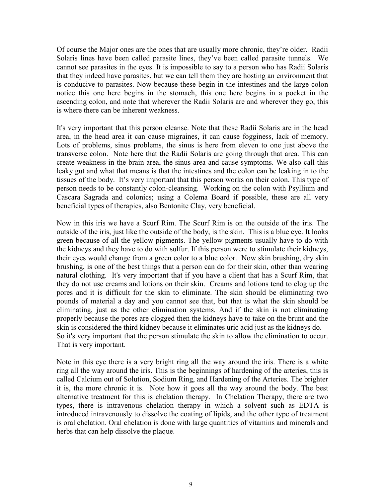Of course the Major ones are the ones that are usually more chronic, they're older. Radii Solaris lines have been called parasite lines, they've been called parasite tunnels. We cannot see parasites in the eyes. It is impossible to say to a person who has Radii Solaris that they indeed have parasites, but we can tell them they are hosting an environment that is conducive to parasites. Now because these begin in the intestines and the large colon notice this one here begins in the stomach, this one here begins in a pocket in the ascending colon, and note that wherever the Radii Solaris are and wherever they go, this is where there can be inherent weakness.

It's very important that this person cleanse. Note that these Radii Solaris are in the head area, in the head area it can cause migraines, it can cause fogginess, lack of memory. Lots of problems, sinus problems, the sinus is here from eleven to one just above the transverse colon. Note here that the Radii Solaris are going through that area. This can create weakness in the brain area, the sinus area and cause symptoms. We also call this leaky gut and what that means is that the intestines and the colon can be leaking in to the tissues of the body. It's very important that this person works on their colon. This type of person needs to be constantly colon-cleansing. Working on the colon with Psyllium and Cascara Sagrada and colonics; using a Colema Board if possible, these are all very beneficial types of therapies, also Bentonite Clay, very beneficial.

Now in this iris we have a Scurf Rim. The Scurf Rim is on the outside of the iris. The outside of the iris, just like the outside of the body, is the skin. This is a blue eye. It looks green because of all the yellow pigments. The yellow pigments usually have to do with the kidneys and they have to do with sulfur. If this person were to stimulate their kidneys, their eyes would change from a green color to a blue color. Now skin brushing, dry skin brushing, is one of the best things that a person can do for their skin, other than wearing natural clothing. It's very important that if you have a client that has a Scurf Rim, that they do not use creams and lotions on their skin. Creams and lotions tend to clog up the pores and it is difficult for the skin to eliminate. The skin should be eliminating two pounds of material a day and you cannot see that, but that is what the skin should be eliminating, just as the other elimination systems. And if the skin is not eliminating properly because the pores are clogged then the kidneys have to take on the brunt and the skin is considered the third kidney because it eliminates uric acid just as the kidneys do. So it's very important that the person stimulate the skin to allow the elimination to occur. That is very important.

Note in this eye there is a very bright ring all the way around the iris. There is a white ring all the way around the iris. This is the beginnings of hardening of the arteries, this is called Calcium out of Solution, Sodium Ring, and Hardening of the Arteries. The brighter it is, the more chronic it is. Note how it goes all the way around the body. The best alternative treatment for this is chelation therapy. In Chelation Therapy, there are two types, there is intravenous chelation therapy in which a solvent such as EDTA is introduced intravenously to dissolve the coating of lipids, and the other type of treatment is oral chelation. Oral chelation is done with large quantities of vitamins and minerals and herbs that can help dissolve the plaque.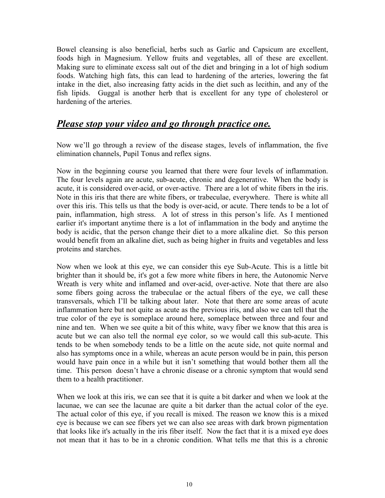Bowel cleansing is also beneficial, herbs such as Garlic and Capsicum are excellent, foods high in Magnesium. Yellow fruits and vegetables, all of these are excellent. Making sure to eliminate excess salt out of the diet and bringing in a lot of high sodium foods. Watching high fats, this can lead to hardening of the arteries, lowering the fat intake in the diet, also increasing fatty acids in the diet such as lecithin, and any of the fish lipids. Guggal is another herb that is excellent for any type of cholesterol or hardening of the arteries.

#### *Please stop your video and go through practice one.*

Now we'll go through a review of the disease stages, levels of inflammation, the five elimination channels, Pupil Tonus and reflex signs.

Now in the beginning course you learned that there were four levels of inflammation. The four levels again are acute, sub-acute, chronic and degenerative. When the body is acute, it is considered over-acid, or over-active. There are a lot of white fibers in the iris. Note in this iris that there are white fibers, or trabeculae, everywhere. There is white all over this iris. This tells us that the body is over-acid, or acute. There tends to be a lot of pain, inflammation, high stress. A lot of stress in this person's life. As I mentioned earlier it's important anytime there is a lot of inflammation in the body and anytime the body is acidic, that the person change their diet to a more alkaline diet. So this person would benefit from an alkaline diet, such as being higher in fruits and vegetables and less proteins and starches.

Now when we look at this eye, we can consider this eye Sub-Acute. This is a little bit brighter than it should be, it's got a few more white fibers in here, the Autonomic Nerve Wreath is very white and inflamed and over-acid, over-active. Note that there are also some fibers going across the trabeculae or the actual fibers of the eye, we call these transversals, which I'll be talking about later. Note that there are some areas of acute inflammation here but not quite as acute as the previous iris, and also we can tell that the true color of the eye is someplace around here, someplace between three and four and nine and ten. When we see quite a bit of this white, wavy fiber we know that this area is acute but we can also tell the normal eye color, so we would call this sub-acute. This tends to be when somebody tends to be a little on the acute side, not quite normal and also has symptoms once in a while, whereas an acute person would be in pain, this person would have pain once in a while but it isn't something that would bother them all the time. This person doesn't have a chronic disease or a chronic symptom that would send them to a health practitioner.

When we look at this iris, we can see that it is quite a bit darker and when we look at the lacunae, we can see the lacunae are quite a bit darker than the actual color of the eye. The actual color of this eye, if you recall is mixed. The reason we know this is a mixed eye is because we can see fibers yet we can also see areas with dark brown pigmentation that looks like it's actually in the iris fiber itself. Now the fact that it is a mixed eye does not mean that it has to be in a chronic condition. What tells me that this is a chronic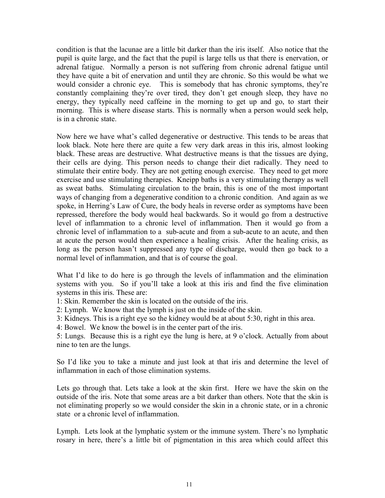condition is that the lacunae are a little bit darker than the iris itself. Also notice that the pupil is quite large, and the fact that the pupil is large tells us that there is enervation, or adrenal fatigue. Normally a person is not suffering from chronic adrenal fatigue until they have quite a bit of enervation and until they are chronic. So this would be what we would consider a chronic eye. This is somebody that has chronic symptoms, they're constantly complaining they're over tired, they don't get enough sleep, they have no energy, they typically need caffeine in the morning to get up and go, to start their morning. This is where disease starts. This is normally when a person would seek help, is in a chronic state.

Now here we have what's called degenerative or destructive. This tends to be areas that look black. Note here there are quite a few very dark areas in this iris, almost looking black. These areas are destructive. What destructive means is that the tissues are dying, their cells are dying. This person needs to change their diet radically. They need to stimulate their entire body. They are not getting enough exercise. They need to get more exercise and use stimulating therapies. Kneipp baths is a very stimulating therapy as well as sweat baths. Stimulating circulation to the brain, this is one of the most important ways of changing from a degenerative condition to a chronic condition. And again as we spoke, in Herring's Law of Cure, the body heals in reverse order as symptoms have been repressed, therefore the body would heal backwards. So it would go from a destructive level of inflammation to a chronic level of inflammation. Then it would go from a chronic level of inflammation to a sub-acute and from a sub-acute to an acute, and then at acute the person would then experience a healing crisis. After the healing crisis, as long as the person hasn't suppressed any type of discharge, would then go back to a normal level of inflammation, and that is of course the goal.

What I'd like to do here is go through the levels of inflammation and the elimination systems with you. So if you'll take a look at this iris and find the five elimination systems in this iris. These are:

1: Skin. Remember the skin is located on the outside of the iris.

2: Lymph. We know that the lymph is just on the inside of the skin.

3: Kidneys. This is a right eye so the kidney would be at about 5:30, right in this area.

4: Bowel. We know the bowel is in the center part of the iris.

5: Lungs. Because this is a right eye the lung is here, at 9 o'clock. Actually from about nine to ten are the lungs.

So I'd like you to take a minute and just look at that iris and determine the level of inflammation in each of those elimination systems.

Lets go through that. Lets take a look at the skin first. Here we have the skin on the outside of the iris. Note that some areas are a bit darker than others. Note that the skin is not eliminating properly so we would consider the skin in a chronic state, or in a chronic state or a chronic level of inflammation.

Lymph. Lets look at the lymphatic system or the immune system. There's no lymphatic rosary in here, there's a little bit of pigmentation in this area which could affect this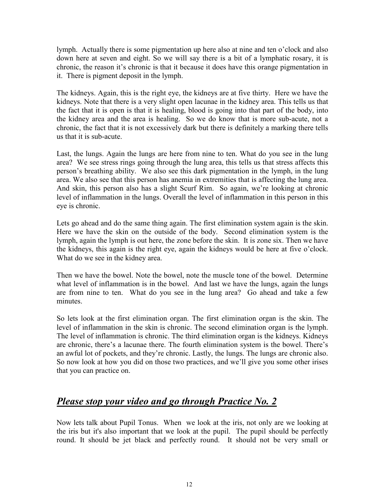lymph. Actually there is some pigmentation up here also at nine and ten o'clock and also down here at seven and eight. So we will say there is a bit of a lymphatic rosary, it is chronic, the reason it's chronic is that it because it does have this orange pigmentation in it. There is pigment deposit in the lymph.

The kidneys. Again, this is the right eye, the kidneys are at five thirty. Here we have the kidneys. Note that there is a very slight open lacunae in the kidney area. This tells us that the fact that it is open is that it is healing, blood is going into that part of the body, into the kidney area and the area is healing. So we do know that is more sub-acute, not a chronic, the fact that it is not excessively dark but there is definitely a marking there tells us that it is sub-acute.

Last, the lungs. Again the lungs are here from nine to ten. What do you see in the lung area? We see stress rings going through the lung area, this tells us that stress affects this person's breathing ability. We also see this dark pigmentation in the lymph, in the lung area. We also see that this person has anemia in extremities that is affecting the lung area. And skin, this person also has a slight Scurf Rim. So again, we're looking at chronic level of inflammation in the lungs. Overall the level of inflammation in this person in this eye is chronic.

Lets go ahead and do the same thing again. The first elimination system again is the skin. Here we have the skin on the outside of the body. Second elimination system is the lymph, again the lymph is out here, the zone before the skin. It is zone six. Then we have the kidneys, this again is the right eye, again the kidneys would be here at five o'clock. What do we see in the kidney area.

Then we have the bowel. Note the bowel, note the muscle tone of the bowel. Determine what level of inflammation is in the bowel. And last we have the lungs, again the lungs are from nine to ten. What do you see in the lung area? Go ahead and take a few minutes.

So lets look at the first elimination organ. The first elimination organ is the skin. The level of inflammation in the skin is chronic. The second elimination organ is the lymph. The level of inflammation is chronic. The third elimination organ is the kidneys. Kidneys are chronic, there's a lacunae there. The fourth elimination system is the bowel. There's an awful lot of pockets, and they're chronic. Lastly, the lungs. The lungs are chronic also. So now look at how you did on those two practices, and we'll give you some other irises that you can practice on.

#### *Please stop your video and go through Practice No. 2*

Now lets talk about Pupil Tonus. When we look at the iris, not only are we looking at the iris but it's also important that we look at the pupil. The pupil should be perfectly round. It should be jet black and perfectly round. It should not be very small or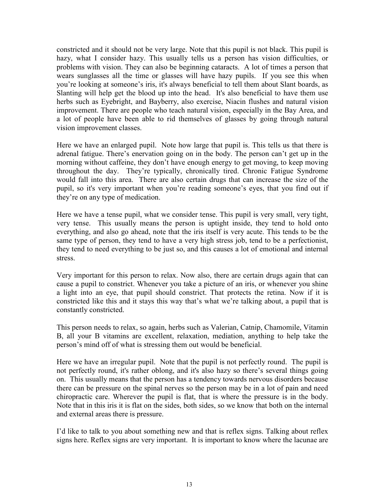constricted and it should not be very large. Note that this pupil is not black. This pupil is hazy, what I consider hazy. This usually tells us a person has vision difficulties, or problems with vision. They can also be beginning cataracts. A lot of times a person that wears sunglasses all the time or glasses will have hazy pupils. If you see this when you're looking at someone's iris, it's always beneficial to tell them about Slant boards, as Slanting will help get the blood up into the head. It's also beneficial to have them use herbs such as Eyebright, and Bayberry, also exercise, Niacin flushes and natural vision improvement. There are people who teach natural vision, especially in the Bay Area, and a lot of people have been able to rid themselves of glasses by going through natural vision improvement classes.

Here we have an enlarged pupil. Note how large that pupil is. This tells us that there is adrenal fatigue. There's enervation going on in the body. The person can't get up in the morning without caffeine, they don't have enough energy to get moving, to keep moving throughout the day. They're typically, chronically tired. Chronic Fatigue Syndrome would fall into this area. There are also certain drugs that can increase the size of the pupil, so it's very important when you're reading someone's eyes, that you find out if they're on any type of medication.

Here we have a tense pupil, what we consider tense. This pupil is very small, very tight, very tense. This usually means the person is uptight inside, they tend to hold onto everything, and also go ahead, note that the iris itself is very acute. This tends to be the same type of person, they tend to have a very high stress job, tend to be a perfectionist, they tend to need everything to be just so, and this causes a lot of emotional and internal stress.

Very important for this person to relax. Now also, there are certain drugs again that can cause a pupil to constrict. Whenever you take a picture of an iris, or whenever you shine a light into an eye, that pupil should constrict. That protects the retina. Now if it is constricted like this and it stays this way that's what we're talking about, a pupil that is constantly constricted.

This person needs to relax, so again, herbs such as Valerian, Catnip, Chamomile, Vitamin B, all your B vitamins are excellent, relaxation, mediation, anything to help take the person's mind off of what is stressing them out would be beneficial.

Here we have an irregular pupil. Note that the pupil is not perfectly round. The pupil is not perfectly round, it's rather oblong, and it's also hazy so there's several things going on. This usually means that the person has a tendency towards nervous disorders because there can be pressure on the spinal nerves so the person may be in a lot of pain and need chiropractic care. Wherever the pupil is flat, that is where the pressure is in the body. Note that in this iris it is flat on the sides, both sides, so we know that both on the internal and external areas there is pressure.

I'd like to talk to you about something new and that is reflex signs. Talking about reflex signs here. Reflex signs are very important. It is important to know where the lacunae are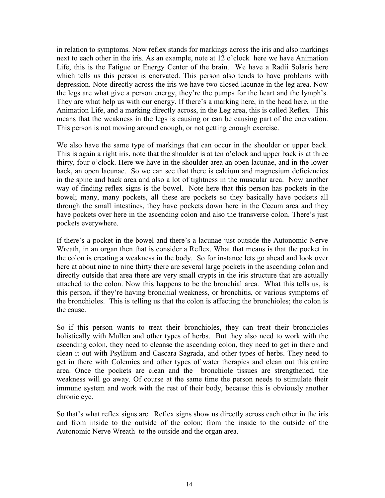in relation to symptoms. Now reflex stands for markings across the iris and also markings next to each other in the iris. As an example, note at 12 o'clock here we have Animation Life, this is the Fatigue or Energy Center of the brain. We have a Radii Solaris here which tells us this person is enervated. This person also tends to have problems with depression. Note directly across the iris we have two closed lacunae in the leg area. Now the legs are what give a person energy, they're the pumps for the heart and the lymph's. They are what help us with our energy. If there's a marking here, in the head here, in the Animation Life, and a marking directly across, in the Leg area, this is called Reflex. This means that the weakness in the legs is causing or can be causing part of the enervation. This person is not moving around enough, or not getting enough exercise.

We also have the same type of markings that can occur in the shoulder or upper back. This is again a right iris, note that the shoulder is at ten o'clock and upper back is at three thirty, four o'clock. Here we have in the shoulder area an open lacunae, and in the lower back, an open lacunae. So we can see that there is calcium and magnesium deficiencies in the spine and back area and also a lot of tightness in the muscular area. Now another way of finding reflex signs is the bowel. Note here that this person has pockets in the bowel; many, many pockets, all these are pockets so they basically have pockets all through the small intestines, they have pockets down here in the Cecum area and they have pockets over here in the ascending colon and also the transverse colon. There's just pockets everywhere.

If there's a pocket in the bowel and there's a lacunae just outside the Autonomic Nerve Wreath, in an organ then that is consider a Reflex. What that means is that the pocket in the colon is creating a weakness in the body. So for instance lets go ahead and look over here at about nine to nine thirty there are several large pockets in the ascending colon and directly outside that area there are very small crypts in the iris structure that are actually attached to the colon. Now this happens to be the bronchial area. What this tells us, is this person, if they're having bronchial weakness, or bronchitis, or various symptoms of the bronchioles. This is telling us that the colon is affecting the bronchioles; the colon is the cause.

So if this person wants to treat their bronchioles, they can treat their bronchioles holistically with Mullen and other types of herbs. But they also need to work with the ascending colon, they need to cleanse the ascending colon, they need to get in there and clean it out with Psyllium and Cascara Sagrada, and other types of herbs. They need to get in there with Colemics and other types of water therapies and clean out this entire area. Once the pockets are clean and the bronchiole tissues are strengthened, the weakness will go away. Of course at the same time the person needs to stimulate their immune system and work with the rest of their body, because this is obviously another chronic eye.

So that's what reflex signs are. Reflex signs show us directly across each other in the iris and from inside to the outside of the colon; from the inside to the outside of the Autonomic Nerve Wreath to the outside and the organ area.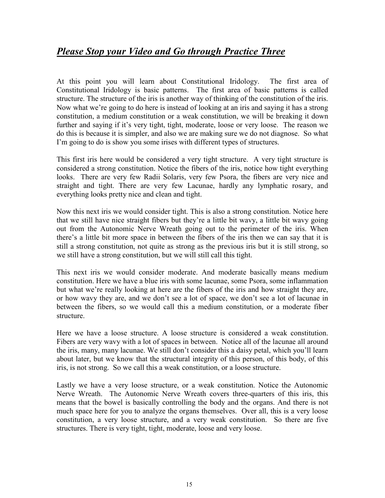#### *Please Stop your Video and Go through Practice Three*

At this point you will learn about Constitutional Iridology. The first area of Constitutional Iridology is basic patterns. The first area of basic patterns is called structure. The structure of the iris is another way of thinking of the constitution of the iris. Now what we're going to do here is instead of looking at an iris and saying it has a strong constitution, a medium constitution or a weak constitution, we will be breaking it down further and saying if it's very tight, tight, moderate, loose or very loose. The reason we do this is because it is simpler, and also we are making sure we do not diagnose. So what I'm going to do is show you some irises with different types of structures.

This first iris here would be considered a very tight structure. A very tight structure is considered a strong constitution. Notice the fibers of the iris, notice how tight everything looks. There are very few Radii Solaris, very few Psora, the fibers are very nice and straight and tight. There are very few Lacunae, hardly any lymphatic rosary, and everything looks pretty nice and clean and tight.

Now this next iris we would consider tight. This is also a strong constitution. Notice here that we still have nice straight fibers but they're a little bit wavy, a little bit wavy going out from the Autonomic Nerve Wreath going out to the perimeter of the iris. When there's a little bit more space in between the fibers of the iris then we can say that it is still a strong constitution, not quite as strong as the previous iris but it is still strong, so we still have a strong constitution, but we will still call this tight.

This next iris we would consider moderate. And moderate basically means medium constitution. Here we have a blue iris with some lacunae, some Psora, some inflammation but what we're really looking at here are the fibers of the iris and how straight they are, or how wavy they are, and we don't see a lot of space, we don't see a lot of lacunae in between the fibers, so we would call this a medium constitution, or a moderate fiber structure.

Here we have a loose structure. A loose structure is considered a weak constitution. Fibers are very wavy with a lot of spaces in between. Notice all of the lacunae all around the iris, many, many lacunae. We still don't consider this a daisy petal, which you'll learn about later, but we know that the structural integrity of this person, of this body, of this iris, is not strong. So we call this a weak constitution, or a loose structure.

Lastly we have a very loose structure, or a weak constitution. Notice the Autonomic Nerve Wreath. The Autonomic Nerve Wreath covers three-quarters of this iris, this means that the bowel is basically controlling the body and the organs. And there is not much space here for you to analyze the organs themselves. Over all, this is a very loose constitution, a very loose structure, and a very weak constitution. So there are five structures. There is very tight, tight, moderate, loose and very loose.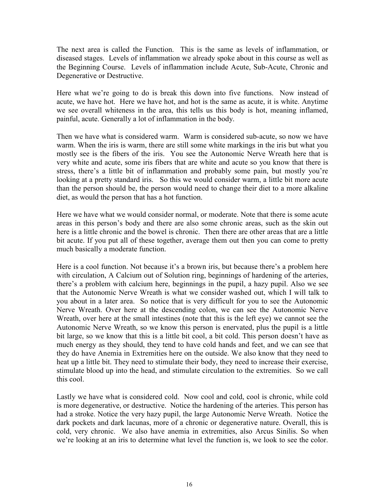The next area is called the Function. This is the same as levels of inflammation, or diseased stages. Levels of inflammation we already spoke about in this course as well as the Beginning Course. Levels of inflammation include Acute, Sub-Acute, Chronic and Degenerative or Destructive.

Here what we're going to do is break this down into five functions. Now instead of acute, we have hot. Here we have hot, and hot is the same as acute, it is white. Anytime we see overall whiteness in the area, this tells us this body is hot, meaning inflamed, painful, acute. Generally a lot of inflammation in the body.

Then we have what is considered warm. Warm is considered sub-acute, so now we have warm. When the iris is warm, there are still some white markings in the iris but what you mostly see is the fibers of the iris. You see the Autonomic Nerve Wreath here that is very white and acute, some iris fibers that are white and acute so you know that there is stress, there's a little bit of inflammation and probably some pain, but mostly you're looking at a pretty standard iris. So this we would consider warm, a little bit more acute than the person should be, the person would need to change their diet to a more alkaline diet, as would the person that has a hot function.

Here we have what we would consider normal, or moderate. Note that there is some acute areas in this person's body and there are also some chronic areas, such as the skin out here is a little chronic and the bowel is chronic. Then there are other areas that are a little bit acute. If you put all of these together, average them out then you can come to pretty much basically a moderate function.

Here is a cool function. Not because it's a brown iris, but because there's a problem here with circulation, A Calcium out of Solution ring, beginnings of hardening of the arteries, there's a problem with calcium here, beginnings in the pupil, a hazy pupil. Also we see that the Autonomic Nerve Wreath is what we consider washed out, which I will talk to you about in a later area. So notice that is very difficult for you to see the Autonomic Nerve Wreath. Over here at the descending colon, we can see the Autonomic Nerve Wreath, over here at the small intestines (note that this is the left eye) we cannot see the Autonomic Nerve Wreath, so we know this person is enervated, plus the pupil is a little bit large, so we know that this is a little bit cool, a bit cold. This person doesn't have as much energy as they should, they tend to have cold hands and feet, and we can see that they do have Anemia in Extremities here on the outside. We also know that they need to heat up a little bit. They need to stimulate their body, they need to increase their exercise, stimulate blood up into the head, and stimulate circulation to the extremities. So we call this cool.

Lastly we have what is considered cold. Now cool and cold, cool is chronic, while cold is more degenerative, or destructive. Notice the hardening of the arteries. This person has had a stroke. Notice the very hazy pupil, the large Autonomic Nerve Wreath. Notice the dark pockets and dark lacunas, more of a chronic or degenerative nature. Overall, this is cold, very chronic. We also have anemia in extremities, also Arcus Sinilis. So when we're looking at an iris to determine what level the function is, we look to see the color.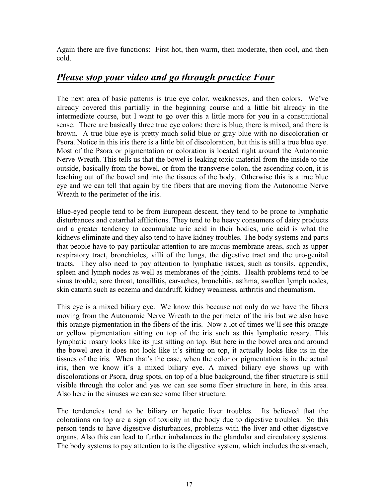Again there are five functions: First hot, then warm, then moderate, then cool, and then cold.

#### *Please stop your video and go through practice Four*

The next area of basic patterns is true eye color, weaknesses, and then colors. We've already covered this partially in the beginning course and a little bit already in the intermediate course, but I want to go over this a little more for you in a constitutional sense. There are basically three true eye colors: there is blue, there is mixed, and there is brown. A true blue eye is pretty much solid blue or gray blue with no discoloration or Psora. Notice in this iris there is a little bit of discoloration, but this is still a true blue eye. Most of the Psora or pigmentation or coloration is located right around the Autonomic Nerve Wreath. This tells us that the bowel is leaking toxic material from the inside to the outside, basically from the bowel, or from the transverse colon, the ascending colon, it is leaching out of the bowel and into the tissues of the body. Otherwise this is a true blue eye and we can tell that again by the fibers that are moving from the Autonomic Nerve Wreath to the perimeter of the iris.

Blue-eyed people tend to be from European descent, they tend to be prone to lymphatic disturbances and catarrhal afflictions. They tend to be heavy consumers of dairy products and a greater tendency to accumulate uric acid in their bodies, uric acid is what the kidneys eliminate and they also tend to have kidney troubles. The body systems and parts that people have to pay particular attention to are mucus membrane areas, such as upper respiratory tract, bronchioles, villi of the lungs, the digestive tract and the uro-genital tracts. They also need to pay attention to lymphatic issues, such as tonsils, appendix, spleen and lymph nodes as well as membranes of the joints. Health problems tend to be sinus trouble, sore throat, tonsillitis, ear-aches, bronchitis, asthma, swollen lymph nodes, skin catarrh such as eczema and dandruff, kidney weakness, arthritis and rheumatism.

This eye is a mixed biliary eye. We know this because not only do we have the fibers moving from the Autonomic Nerve Wreath to the perimeter of the iris but we also have this orange pigmentation in the fibers of the iris. Now a lot of times we'll see this orange or yellow pigmentation sitting on top of the iris such as this lymphatic rosary. This lymphatic rosary looks like its just sitting on top. But here in the bowel area and around the bowel area it does not look like it's sitting on top, it actually looks like its in the tissues of the iris. When that's the case, when the color or pigmentation is in the actual iris, then we know it's a mixed biliary eye. A mixed biliary eye shows up with discolorations or Psora, drug spots, on top of a blue background, the fiber structure is still visible through the color and yes we can see some fiber structure in here, in this area. Also here in the sinuses we can see some fiber structure.

The tendencies tend to be biliary or hepatic liver troubles. Its believed that the colorations on top are a sign of toxicity in the body due to digestive troubles. So this person tends to have digestive disturbances, problems with the liver and other digestive organs. Also this can lead to further imbalances in the glandular and circulatory systems. The body systems to pay attention to is the digestive system, which includes the stomach,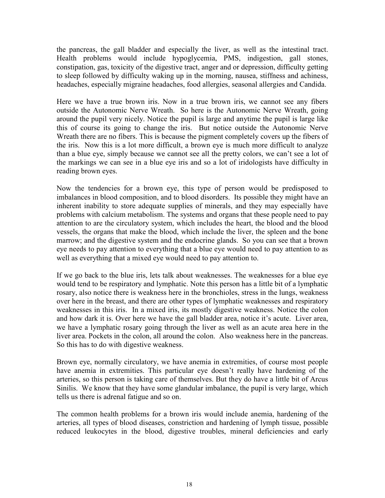the pancreas, the gall bladder and especially the liver, as well as the intestinal tract. Health problems would include hypoglycemia, PMS, indigestion, gall stones, constipation, gas, toxicity of the digestive tract, anger and or depression, difficulty getting to sleep followed by difficulty waking up in the morning, nausea, stiffness and achiness, headaches, especially migraine headaches, food allergies, seasonal allergies and Candida.

Here we have a true brown iris. Now in a true brown iris, we cannot see any fibers outside the Autonomic Nerve Wreath. So here is the Autonomic Nerve Wreath, going around the pupil very nicely. Notice the pupil is large and anytime the pupil is large like this of course its going to change the iris. But notice outside the Autonomic Nerve Wreath there are no fibers. This is because the pigment completely covers up the fibers of the iris. Now this is a lot more difficult, a brown eye is much more difficult to analyze than a blue eye, simply because we cannot see all the pretty colors, we can't see a lot of the markings we can see in a blue eye iris and so a lot of iridologists have difficulty in reading brown eyes.

Now the tendencies for a brown eye, this type of person would be predisposed to imbalances in blood composition, and to blood disorders. Its possible they might have an inherent inability to store adequate supplies of minerals, and they may especially have problems with calcium metabolism. The systems and organs that these people need to pay attention to are the circulatory system, which includes the heart, the blood and the blood vessels, the organs that make the blood, which include the liver, the spleen and the bone marrow; and the digestive system and the endocrine glands. So you can see that a brown eye needs to pay attention to everything that a blue eye would need to pay attention to as well as everything that a mixed eye would need to pay attention to.

If we go back to the blue iris, lets talk about weaknesses. The weaknesses for a blue eye would tend to be respiratory and lymphatic. Note this person has a little bit of a lymphatic rosary, also notice there is weakness here in the bronchioles, stress in the lungs, weakness over here in the breast, and there are other types of lymphatic weaknesses and respiratory weaknesses in this iris. In a mixed iris, its mostly digestive weakness. Notice the colon and how dark it is. Over here we have the gall bladder area, notice it's acute. Liver area, we have a lymphatic rosary going through the liver as well as an acute area here in the liver area. Pockets in the colon, all around the colon. Also weakness here in the pancreas. So this has to do with digestive weakness.

Brown eye, normally circulatory, we have anemia in extremities, of course most people have anemia in extremities. This particular eye doesn't really have hardening of the arteries, so this person is taking care of themselves. But they do have a little bit of Arcus Sinilis. We know that they have some glandular imbalance, the pupil is very large, which tells us there is adrenal fatigue and so on.

The common health problems for a brown iris would include anemia, hardening of the arteries, all types of blood diseases, constriction and hardening of lymph tissue, possible reduced leukocytes in the blood, digestive troubles, mineral deficiencies and early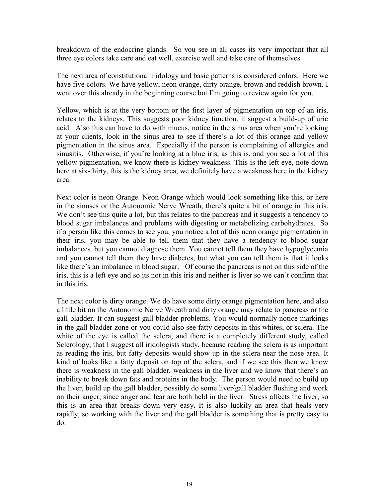breakdown of the endocrine glands. So you see in all cases its very important that all three eye colors take care and eat well, exercise well and take care of themselves.

The next area of constitutional iridology and basic patterns is considered colors. Here we have five colors. We have yellow, neon orange, dirty orange, brown and reddish brown. I went over this already in the beginning course but I'm going to review again for you.

Yellow, which is at the very bottom or the first layer of pigmentation on top of an iris, relates to the kidneys. This suggests poor kidney function, it suggest a build-up of uric acid. Also this can have to do with mucus, notice in the sinus area when you're looking at your clients, look in the sinus area to see if there's a lot of this orange and yellow pigmentation in the sinus area. Especially if the person is complaining of allergies and sinusitis. Otherwise, if you're looking at a blue iris, as this is, and you see a lot of this yellow pigmentation, we know there is kidney weakness. This is the left eye, note down here at six-thirty, this is the kidney area, we definitely have a weakness here in the kidney area.

Next color is neon Orange. Neon Orange which would look something like this, or here in the sinuses or the Autonomic Nerve Wreath, there's quite a bit of orange in this iris. We don't see this quite a lot, but this relates to the pancreas and it suggests a tendency to blood sugar imbalances and problems with digesting or metabolizing carbohydrates. So if a person like this comes to see you, you notice a lot of this neon orange pigmentation in their iris, you may be able to tell them that they have a tendency to blood sugar imbalances, but you cannot diagnose them. You cannot tell them they have hypoglycemia and you cannot tell them they have diabetes, but what you can tell them is that it looks like there's an imbalance in blood sugar. Of course the pancreas is not on this side of the iris, this is a left eye and so its not in this iris and neither is liver so we can't confirm that in this iris.

The next color is dirty orange. We do have some dirty orange pigmentation here, and also a little bit on the Autonomic Nerve Wreath and dirty orange may relate to pancreas or the gall bladder. It can suggest gall bladder problems. You would normally notice markings in the gall bladder zone or you could also see fatty deposits in this whites, or sclera. The white of the eye is called the sclera, and there is a completely different study, called Sclerology, that I suggest all iridologists study, because reading the sclera is as important as reading the iris, but fatty deposits would show up in the sclera near the nose area. It kind of looks like a fatty deposit on top of the sclera, and if we see this then we know there is weakness in the gall bladder, weakness in the liver and we know that there's an inability to break down fats and proteins in the body. The person would need to build up the liver, build up the gall bladder, possibly do some liver/gall bladder flushing and work on their anger, since anger and fear are both held in the liver. Stress affects the liver, so this is an area that breaks down very easy. It is also luckily an area that heals very rapidly, so working with the liver and the gall bladder is something that is pretty easy to do.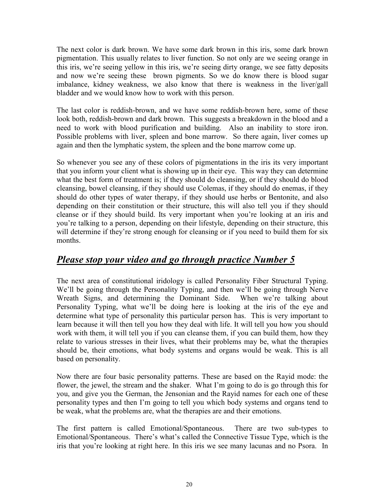The next color is dark brown. We have some dark brown in this iris, some dark brown pigmentation. This usually relates to liver function. So not only are we seeing orange in this iris, we're seeing yellow in this iris, we're seeing dirty orange, we see fatty deposits and now we're seeing these brown pigments. So we do know there is blood sugar imbalance, kidney weakness, we also know that there is weakness in the liver/gall bladder and we would know how to work with this person.

The last color is reddish-brown, and we have some reddish-brown here, some of these look both, reddish-brown and dark brown. This suggests a breakdown in the blood and a need to work with blood purification and building. Also an inability to store iron. Possible problems with liver, spleen and bone marrow. So there again, liver comes up again and then the lymphatic system, the spleen and the bone marrow come up.

So whenever you see any of these colors of pigmentations in the iris its very important that you inform your client what is showing up in their eye. This way they can determine what the best form of treatment is; if they should do cleansing, or if they should do blood cleansing, bowel cleansing, if they should use Colemas, if they should do enemas, if they should do other types of water therapy, if they should use herbs or Bentonite, and also depending on their constitution or their structure, this will also tell you if they should cleanse or if they should build. Its very important when you're looking at an iris and you're talking to a person, depending on their lifestyle, depending on their structure, this will determine if they're strong enough for cleansing or if you need to build them for six months.

#### *Please stop your video and go through practice Number 5*

The next area of constitutional iridology is called Personality Fiber Structural Typing. We'll be going through the Personality Typing, and then we'll be going through Nerve Wreath Signs, and determining the Dominant Side. When we're talking about Personality Typing, what we'll be doing here is looking at the iris of the eye and determine what type of personality this particular person has. This is very important to learn because it will then tell you how they deal with life. It will tell you how you should work with them, it will tell you if you can cleanse them, if you can build them, how they relate to various stresses in their lives, what their problems may be, what the therapies should be, their emotions, what body systems and organs would be weak. This is all based on personality.

Now there are four basic personality patterns. These are based on the Rayid mode: the flower, the jewel, the stream and the shaker. What I'm going to do is go through this for you, and give you the German, the Jensonian and the Rayid names for each one of these personality types and then I'm going to tell you which body systems and organs tend to be weak, what the problems are, what the therapies are and their emotions.

The first pattern is called Emotional/Spontaneous. There are two sub-types to Emotional/Spontaneous. There's what's called the Connective Tissue Type, which is the iris that you're looking at right here. In this iris we see many lacunas and no Psora. In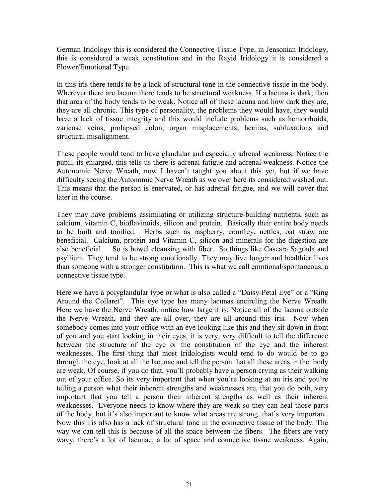German Iridology this is considered the Connective Tissue Type, in Jensonian Iridology, this is considered a weak constitution and in the Rayid Iridology it is considered a Flower/Emotional Type.

In this iris there tends to be a lack of structural tone in the connective tissue in the body. Wherever there are lacuna there tends to be structural weakness. If a lacuna is dark, then that area of the body tends to be weak. Notice all of these lacuna and how dark they are, they are all chronic. This type of personality, the problems they would have, they would have a lack of tissue integrity and this would include problems such as hemorrhoids, varicose veins, prolapsed colon, organ misplacements, hernias, subluxations and structural misalignment.

These people would tend to have glandular and especially adrenal weakness. Notice the pupil, its enlarged, this tells us there is adrenal fatigue and adrenal weakness. Notice the Autonomic Nerve Wreath, now I haven't taught you about this yet, but if we have difficulty seeing the Autonomic Nerve Wreath as we over here its considered washed out. This means that the person is enervated, or has adrenal fatigue, and we will cover that later in the course.

They may have problems assimilating or utilizing structure-building nutrients, such as calcium, vitamin C, bioflavinoids, silicon and protein. Basically their entire body needs to be built and tonified. Herbs such as raspberry, comfrey, nettles, oat straw are beneficial. Calcium, protein and Vitamin C, silicon and minerals for the digestion are also beneficial. So is bowel cleansing with fiber. So things like Cascara Sagrada and psyllium. They tend to be strong emotionally. They may live longer and healthier lives than someone with a stronger constitution. This is what we call emotional/spontaneous, a connective tissue type.

Here we have a polyglandular type or what is also called a "Daisy-Petal Eye" or a "Ring Around the Collaret". This eye type has many lacunas encircling the Nerve Wreath. Here we have the Nerve Wreath, notice how large it is. Notice all of the lacuna outside the Nerve Wreath, and they are all over, they are all around this iris. Now when somebody comes into your office with an eye looking like this and they sit down in front of you and you start looking in their eyes, it is very, very difficult to tell the difference between the structure of the eye or the constitution of the eye and the inherent weaknesses. The first thing that most Iridologists would tend to do would be to go through the eye, look at all the lacunae and tell the person that all these areas in the body are weak. Of course, if you do that, you'll probably have a person crying as their walking out of your office. So its very important that when you're looking at an iris and you're telling a person what their inherent strengths and weaknesses are, that you do both, very important that you tell a person their inherent strengths as well as their inherent weaknesses. Everyone needs to know where they are weak so they can heal those parts of the body, but it's also important to know what areas are strong, that's very important. Now this iris also has a lack of structural tone in the connective tissue of the body. The way we can tell this is because of all the space between the fibers. The fibers are very wavy, there's a lot of lacunae, a lot of space and connective tissue weakness. Again,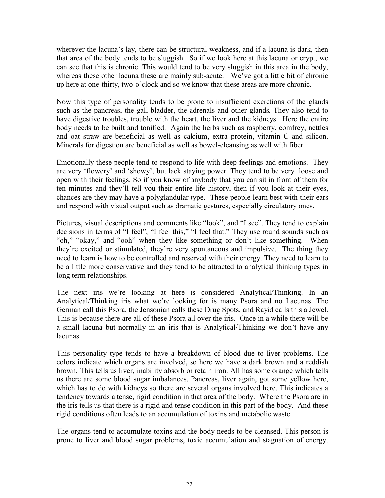wherever the lacuna's lay, there can be structural weakness, and if a lacuna is dark, then that area of the body tends to be sluggish. So if we look here at this lacuna or crypt, we can see that this is chronic. This would tend to be very sluggish in this area in the body, whereas these other lacuna these are mainly sub-acute. We've got a little bit of chronic up here at one-thirty, two-o'clock and so we know that these areas are more chronic.

Now this type of personality tends to be prone to insufficient excretions of the glands such as the pancreas, the gall-bladder, the adrenals and other glands. They also tend to have digestive troubles, trouble with the heart, the liver and the kidneys. Here the entire body needs to be built and tonified. Again the herbs such as raspberry, comfrey, nettles and oat straw are beneficial as well as calcium, extra protein, vitamin C and silicon. Minerals for digestion are beneficial as well as bowel-cleansing as well with fiber.

Emotionally these people tend to respond to life with deep feelings and emotions. They are very 'flowery' and 'showy', but lack staying power. They tend to be very loose and open with their feelings. So if you know of anybody that you can sit in front of them for ten minutes and they'll tell you their entire life history, then if you look at their eyes, chances are they may have a polyglandular type. These people learn best with their ears and respond with visual output such as dramatic gestures, especially circulatory ones.

Pictures, visual descriptions and comments like "look", and "I see". They tend to explain decisions in terms of "I feel", "I feel this," "I feel that." They use round sounds such as "oh," "okay," and "ooh" when they like something or don't like something. When they're excited or stimulated, they're very spontaneous and impulsive. The thing they need to learn is how to be controlled and reserved with their energy. They need to learn to be a little more conservative and they tend to be attracted to analytical thinking types in long term relationships.

The next iris we're looking at here is considered Analytical/Thinking. In an Analytical/Thinking iris what we're looking for is many Psora and no Lacunas. The German call this Psora, the Jensonian calls these Drug Spots, and Rayid calls this a Jewel. This is because there are all of these Psora all over the iris. Once in a while there will be a small lacuna but normally in an iris that is Analytical/Thinking we don't have any lacunas.

This personality type tends to have a breakdown of blood due to liver problems. The colors indicate which organs are involved, so here we have a dark brown and a reddish brown. This tells us liver, inability absorb or retain iron. All has some orange which tells us there are some blood sugar imbalances. Pancreas, liver again, got some yellow here, which has to do with kidneys so there are several organs involved here. This indicates a tendency towards a tense, rigid condition in that area of the body. Where the Psora are in the iris tells us that there is a rigid and tense condition in this part of the body. And these rigid conditions often leads to an accumulation of toxins and metabolic waste.

The organs tend to accumulate toxins and the body needs to be cleansed. This person is prone to liver and blood sugar problems, toxic accumulation and stagnation of energy.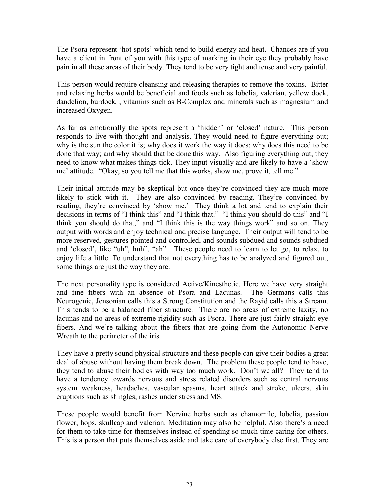The Psora represent 'hot spots' which tend to build energy and heat. Chances are if you have a client in front of you with this type of marking in their eye they probably have pain in all these areas of their body. They tend to be very tight and tense and very painful.

This person would require cleansing and releasing therapies to remove the toxins. Bitter and relaxing herbs would be beneficial and foods such as lobelia, valerian, yellow dock, dandelion, burdock, , vitamins such as B-Complex and minerals such as magnesium and increased Oxygen.

As far as emotionally the spots represent a 'hidden' or 'closed' nature. This person responds to live with thought and analysis. They would need to figure everything out; why is the sun the color it is; why does it work the way it does; why does this need to be done that way; and why should that be done this way. Also figuring everything out, they need to know what makes things tick. They input visually and are likely to have a 'show me' attitude. "Okay, so you tell me that this works, show me, prove it, tell me."

Their initial attitude may be skeptical but once they're convinced they are much more likely to stick with it. They are also convinced by reading. They're convinced by reading, they're convinced by 'show me.' They think a lot and tend to explain their decisions in terms of "I think this" and "I think that." "I think you should do this" and "I think you should do that," and "I think this is the way things work" and so on. They output with words and enjoy technical and precise language. Their output will tend to be more reserved, gestures pointed and controlled, and sounds subdued and sounds subdued and 'closed', like "uh", huh", "ah". These people need to learn to let go, to relax, to enjoy life a little. To understand that not everything has to be analyzed and figured out, some things are just the way they are.

The next personality type is considered Active/Kinesthetic. Here we have very straight and fine fibers with an absence of Psora and Lacunas. The Germans calls this Neurogenic, Jensonian calls this a Strong Constitution and the Rayid calls this a Stream. This tends to be a balanced fiber structure. There are no areas of extreme laxity, no lacunas and no areas of extreme rigidity such as Psora. There are just fairly straight eye fibers. And we're talking about the fibers that are going from the Autonomic Nerve Wreath to the perimeter of the iris.

They have a pretty sound physical structure and these people can give their bodies a great deal of abuse without having them break down. The problem these people tend to have, they tend to abuse their bodies with way too much work. Don't we all? They tend to have a tendency towards nervous and stress related disorders such as central nervous system weakness, headaches, vascular spasms, heart attack and stroke, ulcers, skin eruptions such as shingles, rashes under stress and MS.

These people would benefit from Nervine herbs such as chamomile, lobelia, passion flower, hops, skullcap and valerian. Meditation may also be helpful. Also there's a need for them to take time for themselves instead of spending so much time caring for others. This is a person that puts themselves aside and take care of everybody else first. They are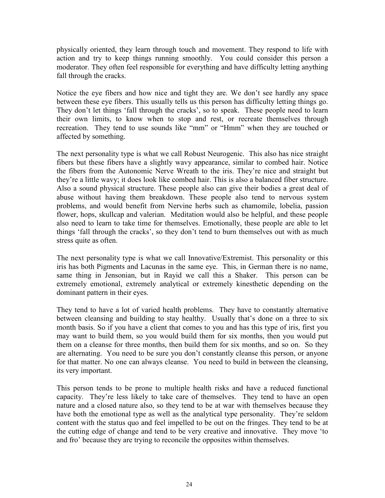physically oriented, they learn through touch and movement. They respond to life with action and try to keep things running smoothly. You could consider this person a moderator. They often feel responsible for everything and have difficulty letting anything fall through the cracks.

Notice the eye fibers and how nice and tight they are. We don't see hardly any space between these eye fibers. This usually tells us this person has difficulty letting things go. They don't let things 'fall through the cracks', so to speak. These people need to learn their own limits, to know when to stop and rest, or recreate themselves through recreation. They tend to use sounds like "mm" or "Hmm" when they are touched or affected by something.

The next personality type is what we call Robust Neurogenic. This also has nice straight fibers but these fibers have a slightly wavy appearance, similar to combed hair. Notice the fibers from the Autonomic Nerve Wreath to the iris. They're nice and straight but they're a little wavy; it does look like combed hair. This is also a balanced fiber structure. Also a sound physical structure. These people also can give their bodies a great deal of abuse without having them breakdown. These people also tend to nervous system problems, and would benefit from Nervine herbs such as chamomile, lobelia, passion flower, hops, skullcap and valerian. Meditation would also be helpful, and these people also need to learn to take time for themselves. Emotionally, these people are able to let things 'fall through the cracks', so they don't tend to burn themselves out with as much stress quite as often.

The next personality type is what we call Innovative/Extremist. This personality or this iris has both Pigments and Lacunas in the same eye. This, in German there is no name, same thing in Jensonian, but in Rayid we call this a Shaker. This person can be extremely emotional, extremely analytical or extremely kinesthetic depending on the dominant pattern in their eyes.

They tend to have a lot of varied health problems. They have to constantly alternative between cleansing and building to stay healthy. Usually that's done on a three to six month basis. So if you have a client that comes to you and has this type of iris, first you may want to build them, so you would build them for six months, then you would put them on a cleanse for three months, then build them for six months, and so on. So they are alternating. You need to be sure you don't constantly cleanse this person, or anyone for that matter. No one can always cleanse. You need to build in between the cleansing, its very important.

This person tends to be prone to multiple health risks and have a reduced functional capacity. They're less likely to take care of themselves. They tend to have an open nature and a closed nature also, so they tend to be at war with themselves because they have both the emotional type as well as the analytical type personality. They're seldom content with the status quo and feel impelled to be out on the fringes. They tend to be at the cutting edge of change and tend to be very creative and innovative. They move 'to and fro' because they are trying to reconcile the opposites within themselves.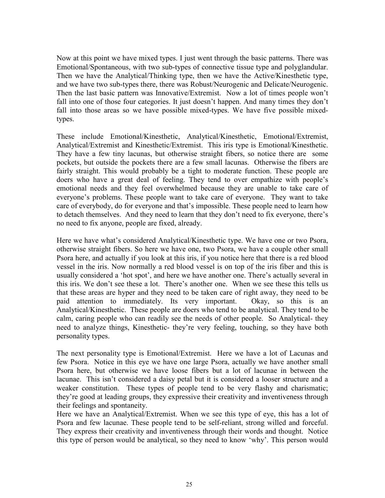Now at this point we have mixed types. I just went through the basic patterns. There was Emotional/Spontaneous, with two sub-types of connective tissue type and polyglandular. Then we have the Analytical/Thinking type, then we have the Active/Kinesthetic type, and we have two sub-types there, there was Robust/Neurogenic and Delicate/Neurogenic. Then the last basic pattern was Innovative/Extremist. Now a lot of times people won't fall into one of those four categories. It just doesn't happen. And many times they don't fall into those areas so we have possible mixed-types. We have five possible mixedtypes.

These include Emotional/Kinesthetic, Analytical/Kinesthetic, Emotional/Extremist, Analytical/Extremist and Kinesthetic/Extremist. This iris type is Emotional/Kinesthetic. They have a few tiny lacunas, but otherwise straight fibers, so notice there are some pockets, but outside the pockets there are a few small lacunas. Otherwise the fibers are fairly straight. This would probably be a tight to moderate function. These people are doers who have a great deal of feeling. They tend to over empathize with people's emotional needs and they feel overwhelmed because they are unable to take care of everyone's problems. These people want to take care of everyone. They want to take care of everybody, do for everyone and that's impossible. These people need to learn how to detach themselves. And they need to learn that they don't need to fix everyone, there's no need to fix anyone, people are fixed, already.

Here we have what's considered Analytical/Kinesthetic type. We have one or two Psora, otherwise straight fibers. So here we have one, two Psora, we have a couple other small Psora here, and actually if you look at this iris, if you notice here that there is a red blood vessel in the iris. Now normally a red blood vessel is on top of the iris fiber and this is usually considered a 'hot spot', and here we have another one. There's actually several in this iris. We don't see these a lot. There's another one. When we see these this tells us that these areas are hyper and they need to be taken care of right away, they need to be paid attention to immediately. Its very important. Okay, so this is an Analytical/Kinesthetic. These people are doers who tend to be analytical. They tend to be calm, caring people who can readily see the needs of other people. So Analytical- they need to analyze things, Kinesthetic- they're very feeling, touching, so they have both personality types.

The next personality type is Emotional/Extremist. Here we have a lot of Lacunas and few Psora. Notice in this eye we have one large Psora, actually we have another small Psora here, but otherwise we have loose fibers but a lot of lacunae in between the lacunae. This isn't considered a daisy petal but it is considered a looser structure and a weaker constitution. These types of people tend to be very flashy and charismatic; they're good at leading groups, they expressive their creativity and inventiveness through their feelings and spontaneity.

Here we have an Analytical/Extremist. When we see this type of eye, this has a lot of Psora and few lacunae. These people tend to be self-reliant, strong willed and forceful. They express their creativity and inventiveness through their words and thought. Notice this type of person would be analytical, so they need to know 'why'. This person would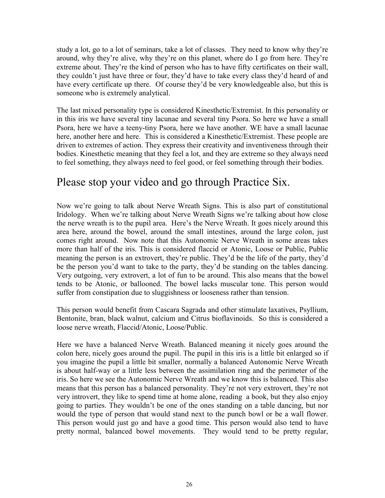study a lot, go to a lot of seminars, take a lot of classes. They need to know why they're around, why they're alive, why they're on this planet, where do I go from here. They're extreme about. They're the kind of person who has to have fifty certificates on their wall, they couldn't just have three or four, they'd have to take every class they'd heard of and have every certificate up there. Of course they'd be very knowledgeable also, but this is someone who is extremely analytical.

The last mixed personality type is considered Kinesthetic/Extremist. In this personality or in this iris we have several tiny lacunae and several tiny Psora. So here we have a small Psora, here we have a teeny-tiny Psora, here we have another. WE have a small lacunae here, another here and here. This is considered a Kinesthetic/Extremist. These people are driven to extremes of action. They express their creativity and inventiveness through their bodies. Kinesthetic meaning that they feel a lot, and they are extreme so they always need to feel something, they always need to feel good, or feel something through their bodies.

## Please stop your video and go through Practice Six.

Now we're going to talk about Nerve Wreath Signs. This is also part of constitutional Iridology. When we're talking about Nerve Wreath Signs we're talking about how close the nerve wreath is to the pupil area. Here's the Nerve Wreath. It goes nicely around this area here, around the bowel, around the small intestines, around the large colon, just comes right around. Now note that this Autonomic Nerve Wreath in some areas takes more than half of the iris. This is considered flaccid or Atonic, Loose or Public, Public meaning the person is an extrovert, they're public. They'd be the life of the party, they'd be the person you'd want to take to the party, they'd be standing on the tables dancing. Very outgoing, very extrovert, a lot of fun to be around. This also means that the bowel tends to be Atonic, or ballooned. The bowel lacks muscular tone. This person would suffer from constipation due to sluggishness or looseness rather than tension.

This person would benefit from Cascara Sagrada and other stimulate laxatives, Psyllium, Bentonite, bran, black walnut, calcium and Citrus bioflavinoids. So this is considered a loose nerve wreath, Flaccid/Atonic, Loose/Public.

Here we have a balanced Nerve Wreath. Balanced meaning it nicely goes around the colon here, nicely goes around the pupil. The pupil in this iris is a little bit enlarged so if you imagine the pupil a little bit smaller, normally a balanced Autonomic Nerve Wreath is about half-way or a little less between the assimilation ring and the perimeter of the iris. So here we see the Autonomic Nerve Wreath and we know this is balanced. This also means that this person has a balanced personality. They're not very extrovert, they're not very introvert, they like to spend time at home alone, reading a book, but they also enjoy going to parties. They wouldn't be one of the ones standing on a table dancing, but nor would the type of person that would stand next to the punch bowl or be a wall flower. This person would just go and have a good time. This person would also tend to have pretty normal, balanced bowel movements. They would tend to be pretty regular,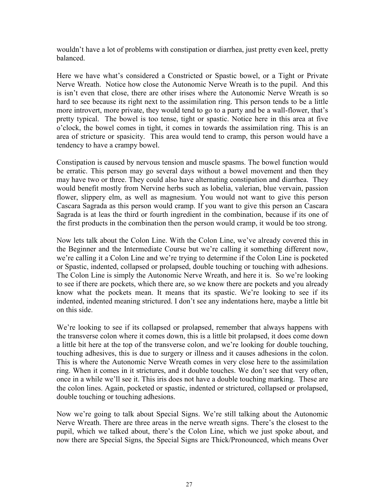wouldn't have a lot of problems with constipation or diarrhea, just pretty even keel, pretty balanced.

Here we have what's considered a Constricted or Spastic bowel, or a Tight or Private Nerve Wreath. Notice how close the Autonomic Nerve Wreath is to the pupil. And this is isn't even that close, there are other irises where the Autonomic Nerve Wreath is so hard to see because its right next to the assimilation ring. This person tends to be a little more introvert, more private, they would tend to go to a party and be a wall-flower, that's pretty typical. The bowel is too tense, tight or spastic. Notice here in this area at five o'clock, the bowel comes in tight, it comes in towards the assimilation ring. This is an area of stricture or spasicity. This area would tend to cramp, this person would have a tendency to have a crampy bowel.

Constipation is caused by nervous tension and muscle spasms. The bowel function would be erratic. This person may go several days without a bowel movement and then they may have two or three. They could also have alternating constipation and diarrhea. They would benefit mostly from Nervine herbs such as lobelia, valerian, blue vervain, passion flower, slippery elm, as well as magnesium. You would not want to give this person Cascara Sagrada as this person would cramp. If you want to give this person an Cascara Sagrada is at leas the third or fourth ingredient in the combination, because if its one of the first products in the combination then the person would cramp, it would be too strong.

Now lets talk about the Colon Line. With the Colon Line, we've already covered this in the Beginner and the Intermediate Course but we're calling it something different now, we're calling it a Colon Line and we're trying to determine if the Colon Line is pocketed or Spastic, indented, collapsed or prolapsed, double touching or touching with adhesions. The Colon Line is simply the Autonomic Nerve Wreath, and here it is. So we're looking to see if there are pockets, which there are, so we know there are pockets and you already know what the pockets mean. It means that its spastic. We're looking to see if its indented, indented meaning strictured. I don't see any indentations here, maybe a little bit on this side.

We're looking to see if its collapsed or prolapsed, remember that always happens with the transverse colon where it comes down, this is a little bit prolapsed, it does come down a little bit here at the top of the transverse colon, and we're looking for double touching, touching adhesives, this is due to surgery or illness and it causes adhesions in the colon. This is where the Autonomic Nerve Wreath comes in very close here to the assimilation ring. When it comes in it strictures, and it double touches. We don't see that very often, once in a while we'll see it. This iris does not have a double touching marking. These are the colon lines. Again, pocketed or spastic, indented or strictured, collapsed or prolapsed, double touching or touching adhesions.

Now we're going to talk about Special Signs. We're still talking about the Autonomic Nerve Wreath. There are three areas in the nerve wreath signs. There's the closest to the pupil, which we talked about, there's the Colon Line, which we just spoke about, and now there are Special Signs, the Special Signs are Thick/Pronounced, which means Over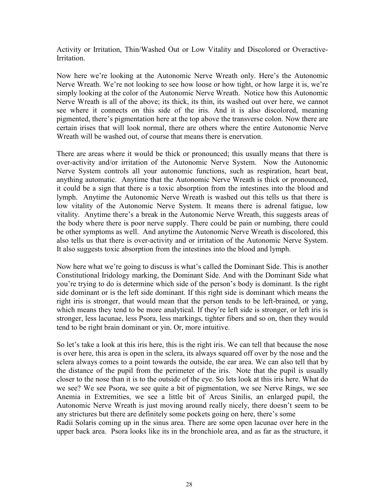Activity or Irritation, Thin/Washed Out or Low Vitality and Discolored or Overactive-**Irritation** 

Now here we're looking at the Autonomic Nerve Wreath only. Here's the Autonomic Nerve Wreath. We're not looking to see how loose or how tight, or how large it is, we're simply looking at the color of the Autonomic Nerve Wreath. Notice how this Autonomic Nerve Wreath is all of the above; its thick, its thin, its washed out over here, we cannot see where it connects on this side of the iris. And it is also discolored, meaning pigmented, there's pigmentation here at the top above the transverse colon. Now there are certain irises that will look normal, there are others where the entire Autonomic Nerve Wreath will be washed out, of course that means there is enervation.

There are areas where it would be thick or pronounced; this usually means that there is over-activity and/or irritation of the Autonomic Nerve System. Now the Autonomic Nerve System controls all your autonomic functions, such as respiration, heart beat, anything automatic. Anytime that the Autonomic Nerve Wreath is thick or pronounced, it could be a sign that there is a toxic absorption from the intestines into the blood and lymph. Anytime the Autonomic Nerve Wreath is washed out this tells us that there is low vitality of the Autonomic Nerve System. It means there is adrenal fatigue, low vitality. Anytime there's a break in the Autonomic Nerve Wreath, this suggests areas of the body where there is poor nerve supply. There could be pain or numbing, there could be other symptoms as well. And anytime the Autonomic Nerve Wreath is discolored, this also tells us that there is over-activity and or irritation of the Autonomic Nerve System. It also suggests toxic absorption from the intestines into the blood and lymph.

Now here what we're going to discuss is what's called the Dominant Side. This is another Constitutional Iridology marking, the Dominant Side. And with the Dominant Side what you're trying to do is determine which side of the person's body is dominant. Is the right side dominant or is the left side dominant. If this right side is dominant which means the right iris is stronger, that would mean that the person tends to be left-brained, or yang, which means they tend to be more analytical. If they're left side is stronger, or left iris is stronger, less lacunae, less Psora, less markings, tighter fibers and so on, then they would tend to be right brain dominant or yin. Or, more intuitive.

So let's take a look at this iris here, this is the right iris. We can tell that because the nose is over here, this area is open in the sclera, its always squared off over by the nose and the sclera always comes to a point towards the outside, the ear area. We can also tell that by the distance of the pupil from the perimeter of the iris. Note that the pupil is usually closer to the nose than it is to the outside of the eye. So lets look at this iris here. What do we see? We see Psora, we see quite a bit of pigmentation, we see Nerve Rings, we see Anemia in Extremities, we see a little bit of Arcus Sinilis, an enlarged pupil, the Autonomic Nerve Wreath is just moving around really nicely, there doesn't seem to be any strictures but there are definitely some pockets going on here, there's some

Radii Solaris coming up in the sinus area. There are some open lacunae over here in the upper back area. Psora looks like its in the bronchiole area, and as far as the structure, it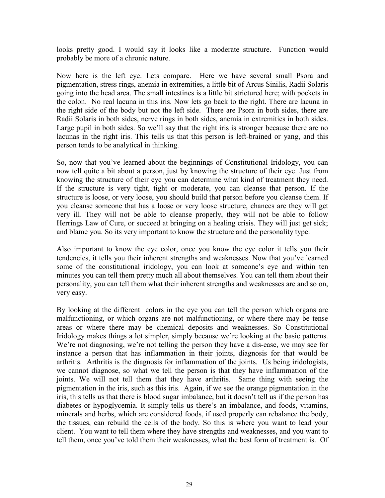looks pretty good. I would say it looks like a moderate structure. Function would probably be more of a chronic nature.

Now here is the left eye. Lets compare. Here we have several small Psora and pigmentation, stress rings, anemia in extremities, a little bit of Arcus Sinilis, Radii Solaris going into the head area. The small intestines is a little bit strictured here; with pockets in the colon. No real lacuna in this iris. Now lets go back to the right. There are lacuna in the right side of the body but not the left side. There are Psora in both sides, there are Radii Solaris in both sides, nerve rings in both sides, anemia in extremities in both sides. Large pupil in both sides. So we'll say that the right iris is stronger because there are no lacunas in the right iris. This tells us that this person is left-brained or yang, and this person tends to be analytical in thinking.

So, now that you've learned about the beginnings of Constitutional Iridology, you can now tell quite a bit about a person, just by knowing the structure of their eye. Just from knowing the structure of their eye you can determine what kind of treatment they need. If the structure is very tight, tight or moderate, you can cleanse that person. If the structure is loose, or very loose, you should build that person before you cleanse them. If you cleanse someone that has a loose or very loose structure, chances are they will get very ill. They will not be able to cleanse properly, they will not be able to follow Herrings Law of Cure, or succeed at bringing on a healing crisis. They will just get sick; and blame you. So its very important to know the structure and the personality type.

Also important to know the eye color, once you know the eye color it tells you their tendencies, it tells you their inherent strengths and weaknesses. Now that you've learned some of the constitutional iridology, you can look at someone's eye and within ten minutes you can tell them pretty much all about themselves. You can tell them about their personality, you can tell them what their inherent strengths and weaknesses are and so on, very easy.

By looking at the different colors in the eye you can tell the person which organs are malfunctioning, or which organs are not malfunctioning, or where there may be tense areas or where there may be chemical deposits and weaknesses. So Constitutional Iridology makes things a lot simpler, simply because we're looking at the basic patterns. We're not diagnosing, we're not telling the person they have a dis-ease, we may see for instance a person that has inflammation in their joints, diagnosis for that would be arthritis. Arthritis is the diagnosis for inflammation of the joints. Us being iridologists, we cannot diagnose, so what we tell the person is that they have inflammation of the joints. We will not tell them that they have arthritis. Same thing with seeing the pigmentation in the iris, such as this iris. Again, if we see the orange pigmentation in the iris, this tells us that there is blood sugar imbalance, but it doesn't tell us if the person has diabetes or hypoglycemia. It simply tells us there's an imbalance, and foods, vitamins, minerals and herbs, which are considered foods, if used properly can rebalance the body, the tissues, can rebuild the cells of the body. So this is where you want to lead your client. You want to tell them where they have strengths and weaknesses, and you want to tell them, once you've told them their weaknesses, what the best form of treatment is. Of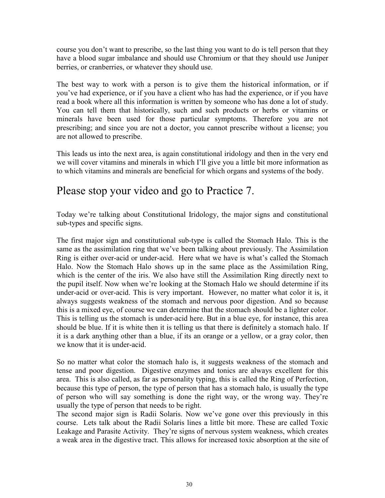course you don't want to prescribe, so the last thing you want to do is tell person that they have a blood sugar imbalance and should use Chromium or that they should use Juniper berries, or cranberries, or whatever they should use.

The best way to work with a person is to give them the historical information, or if you've had experience, or if you have a client who has had the experience, or if you have read a book where all this information is written by someone who has done a lot of study. You can tell them that historically, such and such products or herbs or vitamins or minerals have been used for those particular symptoms. Therefore you are not prescribing; and since you are not a doctor, you cannot prescribe without a license; you are not allowed to prescribe.

This leads us into the next area, is again constitutional iridology and then in the very end we will cover vitamins and minerals in which I'll give you a little bit more information as to which vitamins and minerals are beneficial for which organs and systems of the body.

## Please stop your video and go to Practice 7.

Today we're talking about Constitutional Iridology, the major signs and constitutional sub-types and specific signs.

The first major sign and constitutional sub-type is called the Stomach Halo. This is the same as the assimilation ring that we've been talking about previously. The Assimilation Ring is either over-acid or under-acid. Here what we have is what's called the Stomach Halo. Now the Stomach Halo shows up in the same place as the Assimilation Ring, which is the center of the iris. We also have still the Assimilation Ring directly next to the pupil itself. Now when we're looking at the Stomach Halo we should determine if its under-acid or over-acid. This is very important. However, no matter what color it is, it always suggests weakness of the stomach and nervous poor digestion. And so because this is a mixed eye, of course we can determine that the stomach should be a lighter color. This is telling us the stomach is under-acid here. But in a blue eye, for instance, this area should be blue. If it is white then it is telling us that there is definitely a stomach halo. If it is a dark anything other than a blue, if its an orange or a yellow, or a gray color, then we know that it is under-acid.

So no matter what color the stomach halo is, it suggests weakness of the stomach and tense and poor digestion. Digestive enzymes and tonics are always excellent for this area. This is also called, as far as personality typing, this is called the Ring of Perfection, because this type of person, the type of person that has a stomach halo, is usually the type of person who will say something is done the right way, or the wrong way. They're usually the type of person that needs to be right.

The second major sign is Radii Solaris. Now we've gone over this previously in this course. Lets talk about the Radii Solaris lines a little bit more. These are called Toxic Leakage and Parasite Activity. They're signs of nervous system weakness, which creates a weak area in the digestive tract. This allows for increased toxic absorption at the site of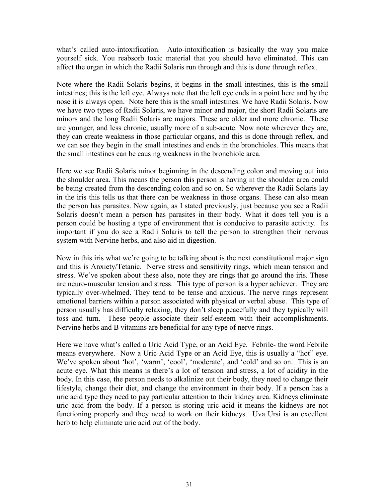what's called auto-intoxification. Auto-intoxification is basically the way you make yourself sick. You reabsorb toxic material that you should have eliminated. This can affect the organ in which the Radii Solaris run through and this is done through reflex.

Note where the Radii Solaris begins, it begins in the small intestines, this is the small intestines; this is the left eye. Always note that the left eye ends in a point here and by the nose it is always open. Note here this is the small intestines. We have Radii Solaris. Now we have two types of Radii Solaris, we have minor and major, the short Radii Solaris are minors and the long Radii Solaris are majors. These are older and more chronic. These are younger, and less chronic, usually more of a sub-acute. Now note wherever they are, they can create weakness in those particular organs, and this is done through reflex, and we can see they begin in the small intestines and ends in the bronchioles. This means that the small intestines can be causing weakness in the bronchiole area.

Here we see Radii Solaris minor beginning in the descending colon and moving out into the shoulder area. This means the person this person is having in the shoulder area could be being created from the descending colon and so on. So wherever the Radii Solaris lay in the iris this tells us that there can be weakness in those organs. These can also mean the person has parasites. Now again, as I stated previously, just because you see a Radii Solaris doesn't mean a person has parasites in their body. What it does tell you is a person could be hosting a type of environment that is conducive to parasite activity. Its important if you do see a Radii Solaris to tell the person to strengthen their nervous system with Nervine herbs, and also aid in digestion.

Now in this iris what we're going to be talking about is the next constitutional major sign and this is Anxiety/Tetanic. Nerve stress and sensitivity rings, which mean tension and stress. We've spoken about these also, note they are rings that go around the iris. These are neuro-muscular tension and stress. This type of person is a hyper achiever. They are typically over-whelmed. They tend to be tense and anxious. The nerve rings represent emotional barriers within a person associated with physical or verbal abuse. This type of person usually has difficulty relaxing, they don't sleep peacefully and they typically will toss and turn. These people associate their self-esteem with their accomplishments. Nervine herbs and B vitamins are beneficial for any type of nerve rings.

Here we have what's called a Uric Acid Type, or an Acid Eye. Febrile- the word Febrile means everywhere. Now a Uric Acid Type or an Acid Eye, this is usually a "hot" eye. We've spoken about 'hot', 'warm', 'cool', 'moderate', and 'cold' and so on. This is an acute eye. What this means is there's a lot of tension and stress, a lot of acidity in the body. In this case, the person needs to alkalinize out their body, they need to change their lifestyle, change their diet, and change the environment in their body. If a person has a uric acid type they need to pay particular attention to their kidney area. Kidneys eliminate uric acid from the body. If a person is storing uric acid it means the kidneys are not functioning properly and they need to work on their kidneys. Uva Ursi is an excellent herb to help eliminate uric acid out of the body.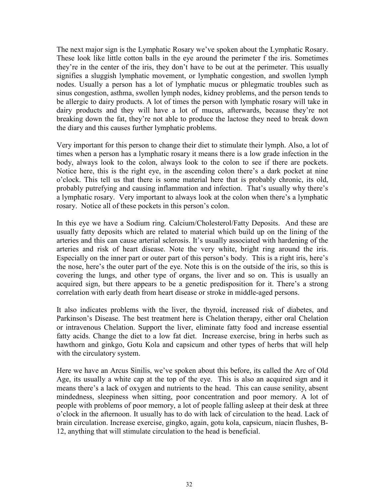The next major sign is the Lymphatic Rosary we've spoken about the Lymphatic Rosary. These look like little cotton balls in the eye around the perimeter f the iris. Sometimes they're in the center of the iris, they don't have to be out at the perimeter. This usually signifies a sluggish lymphatic movement, or lymphatic congestion, and swollen lymph nodes. Usually a person has a lot of lymphatic mucus or phlegmatic troubles such as sinus congestion, asthma, swollen lymph nodes, kidney problems, and the person tends to be allergic to dairy products. A lot of times the person with lymphatic rosary will take in dairy products and they will have a lot of mucus, afterwards, because they're not breaking down the fat, they're not able to produce the lactose they need to break down the diary and this causes further lymphatic problems.

Very important for this person to change their diet to stimulate their lymph. Also, a lot of times when a person has a lymphatic rosary it means there is a low grade infection in the body, always look to the colon, always look to the colon to see if there are pockets. Notice here, this is the right eye, in the ascending colon there's a dark pocket at nine o'clock. This tell us that there is some material here that is probably chronic, its old, probably putrefying and causing inflammation and infection. That's usually why there's a lymphatic rosary. Very important to always look at the colon when there's a lymphatic rosary. Notice all of these pockets in this person's colon.

In this eye we have a Sodium ring. Calcium/Cholesterol/Fatty Deposits. And these are usually fatty deposits which are related to material which build up on the lining of the arteries and this can cause arterial sclerosis. It's usually associated with hardening of the arteries and risk of heart disease. Note the very white, bright ring around the iris. Especially on the inner part or outer part of this person's body. This is a right iris, here's the nose, here's the outer part of the eye. Note this is on the outside of the iris, so this is covering the lungs, and other type of organs, the liver and so on. This is usually an acquired sign, but there appears to be a genetic predisposition for it. There's a strong correlation with early death from heart disease or stroke in middle-aged persons.

It also indicates problems with the liver, the thyroid, increased risk of diabetes, and Parkinson's Disease. The best treatment here is Chelation therapy, either oral Chelation or intravenous Chelation. Support the liver, eliminate fatty food and increase essential fatty acids. Change the diet to a low fat diet. Increase exercise, bring in herbs such as hawthorn and ginkgo, Gotu Kola and capsicum and other types of herbs that will help with the circulatory system.

Here we have an Arcus Sinilis, we've spoken about this before, its called the Arc of Old Age, its usually a white cap at the top of the eye. This is also an acquired sign and it means there's a lack of oxygen and nutrients to the head. This can cause senility, absent mindedness, sleepiness when sitting, poor concentration and poor memory. A lot of people with problems of poor memory, a lot of people falling asleep at their desk at three o'clock in the afternoon. It usually has to do with lack of circulation to the head. Lack of brain circulation. Increase exercise, gingko, again, gotu kola, capsicum, niacin flushes, B-12, anything that will stimulate circulation to the head is beneficial.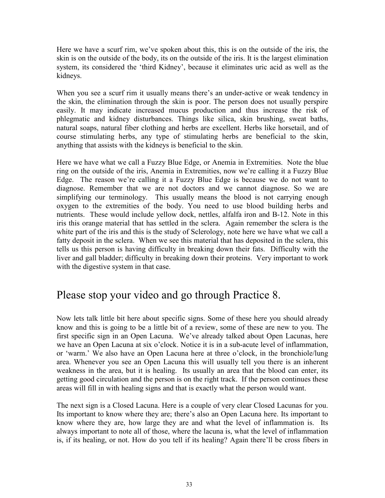Here we have a scurf rim, we've spoken about this, this is on the outside of the iris, the skin is on the outside of the body, its on the outside of the iris. It is the largest elimination system, its considered the 'third Kidney', because it eliminates uric acid as well as the kidneys.

When you see a scurf rim it usually means there's an under-active or weak tendency in the skin, the elimination through the skin is poor. The person does not usually perspire easily. It may indicate increased mucus production and thus increase the risk of phlegmatic and kidney disturbances. Things like silica, skin brushing, sweat baths, natural soaps, natural fiber clothing and herbs are excellent. Herbs like horsetail, and of course stimulating herbs, any type of stimulating herbs are beneficial to the skin, anything that assists with the kidneys is beneficial to the skin.

Here we have what we call a Fuzzy Blue Edge, or Anemia in Extremities. Note the blue ring on the outside of the iris, Anemia in Extremities, now we're calling it a Fuzzy Blue Edge. The reason we're calling it a Fuzzy Blue Edge is because we do not want to diagnose. Remember that we are not doctors and we cannot diagnose. So we are simplifying our terminology. This usually means the blood is not carrying enough oxygen to the extremities of the body. You need to use blood building herbs and nutrients. These would include yellow dock, nettles, alfalfa iron and B-12. Note in this iris this orange material that has settled in the sclera. Again remember the sclera is the white part of the iris and this is the study of Sclerology, note here we have what we call a fatty deposit in the sclera. When we see this material that has deposited in the sclera, this tells us this person is having difficulty in breaking down their fats. Difficulty with the liver and gall bladder; difficulty in breaking down their proteins. Very important to work with the digestive system in that case.

#### Please stop your video and go through Practice 8.

Now lets talk little bit here about specific signs. Some of these here you should already know and this is going to be a little bit of a review, some of these are new to you. The first specific sign in an Open Lacuna. We've already talked about Open Lacunas, here we have an Open Lacuna at six o'clock. Notice it is in a sub-acute level of inflammation, or 'warm.' We also have an Open Lacuna here at three o'clock, in the bronchiole/lung area. Whenever you see an Open Lacuna this will usually tell you there is an inherent weakness in the area, but it is healing. Its usually an area that the blood can enter, its getting good circulation and the person is on the right track. If the person continues these areas will fill in with healing signs and that is exactly what the person would want.

The next sign is a Closed Lacuna. Here is a couple of very clear Closed Lacunas for you. Its important to know where they are; there's also an Open Lacuna here. Its important to know where they are, how large they are and what the level of inflammation is. Its always important to note all of those, where the lacuna is, what the level of inflammation is, if its healing, or not. How do you tell if its healing? Again there'll be cross fibers in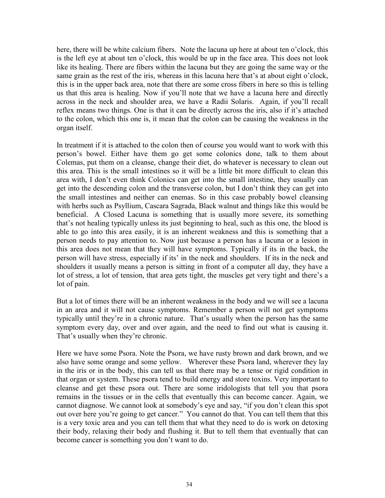here, there will be white calcium fibers. Note the lacuna up here at about ten o'clock, this is the left eye at about ten o'clock, this would be up in the face area. This does not look like its healing. There are fibers within the lacuna but they are going the same way or the same grain as the rest of the iris, whereas in this lacuna here that's at about eight o'clock, this is in the upper back area, note that there are some cross fibers in here so this is telling us that this area is healing. Now if you'll note that we have a lacuna here and directly across in the neck and shoulder area, we have a Radii Solaris. Again, if you'll recall reflex means two things. One is that it can be directly across the iris, also if it's attached to the colon, which this one is, it mean that the colon can be causing the weakness in the organ itself.

In treatment if it is attached to the colon then of course you would want to work with this person's bowel. Either have them go get some colonics done, talk to them about Colemas, put them on a cleanse, change their diet, do whatever is necessary to clean out this area. This is the small intestines so it will be a little bit more difficult to clean this area with, I don't even think Colonics can get into the small intestine, they usually can get into the descending colon and the transverse colon, but I don't think they can get into the small intestines and neither can enemas. So in this case probably bowel cleansing with herbs such as Psyllium, Cascara Sagrada, Black walnut and things like this would be beneficial. A Closed Lacuna is something that is usually more severe, its something that's not healing typically unless its just beginning to heal, such as this one, the blood is able to go into this area easily, it is an inherent weakness and this is something that a person needs to pay attention to. Now just because a person has a lacuna or a lesion in this area does not mean that they will have symptoms. Typically if its in the back, the person will have stress, especially if its' in the neck and shoulders. If its in the neck and shoulders it usually means a person is sitting in front of a computer all day, they have a lot of stress, a lot of tension, that area gets tight, the muscles get very tight and there's a lot of pain.

But a lot of times there will be an inherent weakness in the body and we will see a lacuna in an area and it will not cause symptoms. Remember a person will not get symptoms typically until they're in a chronic nature. That's usually when the person has the same symptom every day, over and over again, and the need to find out what is causing it. That's usually when they're chronic.

Here we have some Psora. Note the Psora, we have rusty brown and dark brown, and we also have some orange and some yellow. Wherever these Psora land, wherever they lay in the iris or in the body, this can tell us that there may be a tense or rigid condition in that organ or system. These psora tend to build energy and store toxins. Very important to cleanse and get these psora out. There are some iridologists that tell you that psora remains in the tissues or in the cells that eventually this can become cancer. Again, we cannot diagnose. We cannot look at somebody's eye and say, "if you don't clean this spot out over here you're going to get cancer." You cannot do that. You can tell them that this is a very toxic area and you can tell them that what they need to do is work on detoxing their body, relaxing their body and flushing it. But to tell them that eventually that can become cancer is something you don't want to do.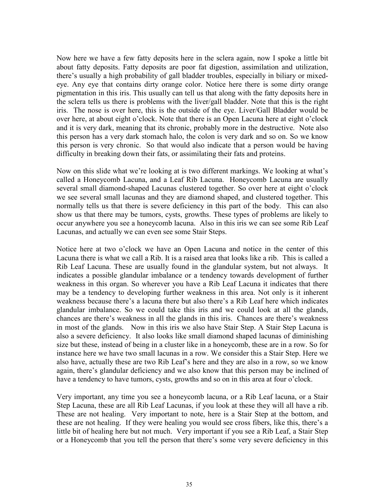Now here we have a few fatty deposits here in the sclera again, now I spoke a little bit about fatty deposits. Fatty deposits are poor fat digestion, assimilation and utilization, there's usually a high probability of gall bladder troubles, especially in biliary or mixedeye. Any eye that contains dirty orange color. Notice here there is some dirty orange pigmentation in this iris. This usually can tell us that along with the fatty deposits here in the sclera tells us there is problems with the liver/gall bladder. Note that this is the right iris. The nose is over here, this is the outside of the eye. Liver/Gall Bladder would be over here, at about eight o'clock. Note that there is an Open Lacuna here at eight o'clock and it is very dark, meaning that its chronic, probably more in the destructive. Note also this person has a very dark stomach halo, the colon is very dark and so on. So we know this person is very chronic. So that would also indicate that a person would be having difficulty in breaking down their fats, or assimilating their fats and proteins.

Now on this slide what we're looking at is two different markings. We looking at what's called a Honeycomb Lacuna, and a Leaf Rib Lacuna. Honeycomb Lacuna are usually several small diamond-shaped Lacunas clustered together. So over here at eight o'clock we see several small lacunas and they are diamond shaped, and clustered together. This normally tells us that there is severe deficiency in this part of the body. This can also show us that there may be tumors, cysts, growths. These types of problems are likely to occur anywhere you see a honeycomb lacuna. Also in this iris we can see some Rib Leaf Lacunas, and actually we can even see some Stair Steps.

Notice here at two o'clock we have an Open Lacuna and notice in the center of this Lacuna there is what we call a Rib. It is a raised area that looks like a rib. This is called a Rib Leaf Lacuna. These are usually found in the glandular system, but not always. It indicates a possible glandular imbalance or a tendency towards development of further weakness in this organ. So wherever you have a Rib Leaf Lacuna it indicates that there may be a tendency to developing further weakness in this area. Not only is it inherent weakness because there's a lacuna there but also there's a Rib Leaf here which indicates glandular imbalance. So we could take this iris and we could look at all the glands, chances are there's weakness in all the glands in this iris. Chances are there's weakness in most of the glands. Now in this iris we also have Stair Step. A Stair Step Lacuna is also a severe deficiency. It also looks like small diamond shaped lacunas of diminishing size but these, instead of being in a cluster like in a honeycomb, these are in a row. So for instance here we have two small lacunas in a row. We consider this a Stair Step. Here we also have, actually these are two Rib Leaf's here and they are also in a row, so we know again, there's glandular deficiency and we also know that this person may be inclined of have a tendency to have tumors, cysts, growths and so on in this area at four o'clock.

Very important, any time you see a honeycomb lacuna, or a Rib Leaf lacuna, or a Stair Step Lacuna, these are all Rib Leaf Lacunas, if you look at these they will all have a rib. These are not healing. Very important to note, here is a Stair Step at the bottom, and these are not healing. If they were healing you would see cross fibers, like this, there's a little bit of healing here but not much. Very important if you see a Rib Leaf, a Stair Step or a Honeycomb that you tell the person that there's some very severe deficiency in this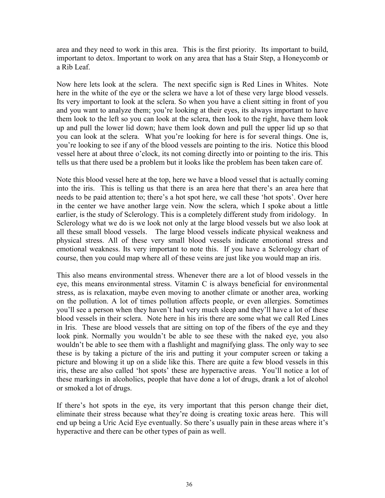area and they need to work in this area. This is the first priority. Its important to build, important to detox. Important to work on any area that has a Stair Step, a Honeycomb or a Rib Leaf.

Now here lets look at the sclera. The next specific sign is Red Lines in Whites. Note here in the white of the eye or the sclera we have a lot of these very large blood vessels. Its very important to look at the sclera. So when you have a client sitting in front of you and you want to analyze them; you're looking at their eyes, its always important to have them look to the left so you can look at the sclera, then look to the right, have them look up and pull the lower lid down; have them look down and pull the upper lid up so that you can look at the sclera. What you're looking for here is for several things. One is, you're looking to see if any of the blood vessels are pointing to the iris. Notice this blood vessel here at about three o'clock, its not coming directly into or pointing to the iris. This tells us that there used be a problem but it looks like the problem has been taken care of.

Note this blood vessel here at the top, here we have a blood vessel that is actually coming into the iris. This is telling us that there is an area here that there's an area here that needs to be paid attention to; there's a hot spot here, we call these 'hot spots'. Over here in the center we have another large vein. Now the sclera, which I spoke about a little earlier, is the study of Sclerology. This is a completely different study from iridology. In Sclerology what we do is we look not only at the large blood vessels but we also look at all these small blood vessels. The large blood vessels indicate physical weakness and physical stress. All of these very small blood vessels indicate emotional stress and emotional weakness. Its very important to note this. If you have a Sclerology chart of course, then you could map where all of these veins are just like you would map an iris.

This also means environmental stress. Whenever there are a lot of blood vessels in the eye, this means environmental stress. Vitamin C is always beneficial for environmental stress, as is relaxation, maybe even moving to another climate or another area, working on the pollution. A lot of times pollution affects people, or even allergies. Sometimes you'll see a person when they haven't had very much sleep and they'll have a lot of these blood vessels in their sclera. Note here in his iris there are some what we call Red Lines in Iris. These are blood vessels that are sitting on top of the fibers of the eye and they look pink. Normally you wouldn't be able to see these with the naked eye, you also wouldn't be able to see them with a flashlight and magnifying glass. The only way to see these is by taking a picture of the iris and putting it your computer screen or taking a picture and blowing it up on a slide like this. There are quite a few blood vessels in this iris, these are also called 'hot spots' these are hyperactive areas. You'll notice a lot of these markings in alcoholics, people that have done a lot of drugs, drank a lot of alcohol or smoked a lot of drugs.

If there's hot spots in the eye, its very important that this person change their diet, eliminate their stress because what they're doing is creating toxic areas here. This will end up being a Uric Acid Eye eventually. So there's usually pain in these areas where it's hyperactive and there can be other types of pain as well.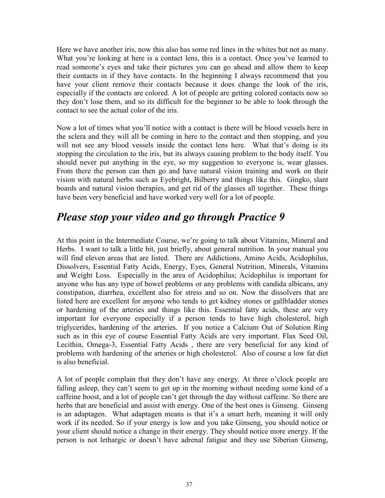Here we have another iris, now this also has some red lines in the whites but not as many. What you're looking at here is a contact lens, this is a contact. Once you've learned to read someone's eyes and take their pictures you can go ahead and allow them to keep their contacts in if they have contacts. In the beginning I always recommend that you have your client remove their contacts because it does change the look of the iris, especially if the contacts are colored. A lot of people are getting colored contacts now so they don't lose them, and so its difficult for the beginner to be able to look through the contact to see the actual color of the iris.

Now a lot of times what you'll notice with a contact is there will be blood vessels here in the sclera and they will all be coming in here to the contact and then stopping, and you will not see any blood vessels inside the contact lens here. What that's doing is its stopping the circulation to the iris, but its always causing problem to the body itself. You should never put anything in the eye, so my suggestion to everyone is, wear glasses. From there the person can then go and have natural vision training and work on their vision with natural herbs such as Eyebright, Bilberry and things like this. Gingko, slant boards and natural vision therapies, and get rid of the glasses all together. These things have been very beneficial and have worked very well for a lot of people.

## *Please stop your video and go through Practice 9*

At this point in the Intermediate Course, we're going to talk about Vitamins, Mineral and Herbs. I want to talk a little bit, just briefly, about general nutrition. In your manual you will find eleven areas that are listed. There are Addictions, Amino Acids, Acidophilus, Dissolvers, Essential Fatty Acids, Energy, Eyes, General Nutrition, Minerals, Vitamins and Weight Loss. Especially in the area of Acidophilus; Acidophilus is important for anyone who has any type of bowel problems or any problems with candida albicans, any constipation, diarrhea, excellent also for stress and so on. Now the dissolvers that are listed here are excellent for anyone who tends to get kidney stones or gallbladder stones or hardening of the arteries and things like this. Essential fatty acids, these are very important for everyone especially if a person tends to have high cholesterol, high triglycerides, hardening of the arteries. If you notice a Calcium Out of Solution Ring such as in this eye of course Essential Fatty Acids are very important. Flax Seed Oil, Lecithin, Omega-3, Essential Fatty Acids , there are very beneficial for any kind of problems with hardening of the arteries or high cholesterol. Also of course a low fat diet is also beneficial.

A lot of people complain that they don't have any energy. At three o'clock people are falling asleep, they can't seem to get up in the morning without needing some kind of a caffeine boost, and a lot of people can't get through the day without caffeine. So there are herbs that are beneficial and assist with energy. One of the best ones is Ginseng. Ginseng is an adaptagen. What adaptagen means is that it's a smart herb, meaning it will only work if its needed. So if your energy is low and you take Ginseng, you should notice or your client should notice a change in their energy. They should notice more energy. If the person is not lethargic or doesn't have adrenal fatigue and they use Siberian Ginseng,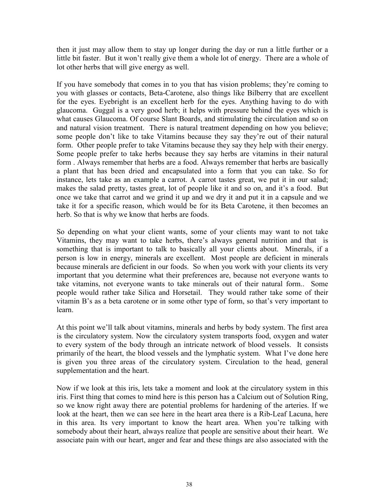then it just may allow them to stay up longer during the day or run a little further or a little bit faster. But it won't really give them a whole lot of energy. There are a whole of lot other herbs that will give energy as well.

If you have somebody that comes in to you that has vision problems; they're coming to you with glasses or contacts, Beta-Carotene, also things like Bilberry that are excellent for the eyes. Eyebright is an excellent herb for the eyes. Anything having to do with glaucoma. Guggal is a very good herb; it helps with pressure behind the eyes which is what causes Glaucoma. Of course Slant Boards, and stimulating the circulation and so on and natural vision treatment. There is natural treatment depending on how you believe; some people don't like to take Vitamins because they say they're out of their natural form. Other people prefer to take Vitamins because they say they help with their energy. Some people prefer to take herbs because they say herbs are vitamins in their natural form . Always remember that herbs are a food. Always remember that herbs are basically a plant that has been dried and encapsulated into a form that you can take. So for instance, lets take as an example a carrot. A carrot tastes great, we put it in our salad; makes the salad pretty, tastes great, lot of people like it and so on, and it's a food. But once we take that carrot and we grind it up and we dry it and put it in a capsule and we take it for a specific reason, which would be for its Beta Carotene, it then becomes an herb. So that is why we know that herbs are foods.

So depending on what your client wants, some of your clients may want to not take Vitamins, they may want to take herbs, there's always general nutrition and that is something that is important to talk to basically all your clients about. Minerals, if a person is low in energy, minerals are excellent. Most people are deficient in minerals because minerals are deficient in our foods. So when you work with your clients its very important that you determine what their preferences are, because not everyone wants to take vitamins, not everyone wants to take minerals out of their natural form.. Some people would rather take Silica and Horsetail. They would rather take some of their vitamin B's as a beta carotene or in some other type of form, so that's very important to learn.

At this point we'll talk about vitamins, minerals and herbs by body system. The first area is the circulatory system. Now the circulatory system transports food, oxygen and water to every system of the body through an intricate network of blood vessels. It consists primarily of the heart, the blood vessels and the lymphatic system. What I've done here is given you three areas of the circulatory system. Circulation to the head, general supplementation and the heart.

Now if we look at this iris, lets take a moment and look at the circulatory system in this iris. First thing that comes to mind here is this person has a Calcium out of Solution Ring, so we know right away there are potential problems for hardening of the arteries. If we look at the heart, then we can see here in the heart area there is a Rib-Leaf Lacuna, here in this area. Its very important to know the heart area. When you're talking with somebody about their heart, always realize that people are sensitive about their heart. We associate pain with our heart, anger and fear and these things are also associated with the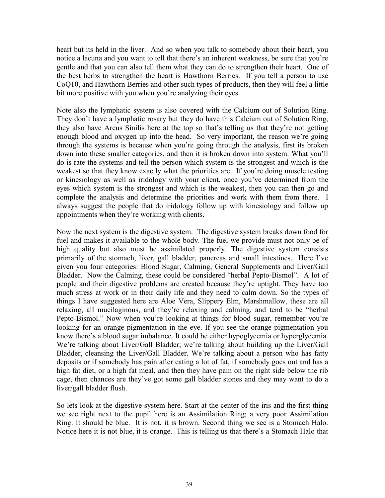heart but its held in the liver. And so when you talk to somebody about their heart, you notice a lacuna and you want to tell that there's an inherent weakness, be sure that you're gentle and that you can also tell them what they can do to strengthen their heart. One of the best herbs to strengthen the heart is Hawthorn Berries. If you tell a person to use CoQ10, and Hawthorn Berries and other such types of products, then they will feel a little bit more positive with you when you're analyzing their eyes.

Note also the lymphatic system is also covered with the Calcium out of Solution Ring. They don't have a lymphatic rosary but they do have this Calcium out of Solution Ring, they also have Arcus Sinilis here at the top so that's telling us that they're not getting enough blood and oxygen up into the head. So very important, the reason we're going through the systems is because when you're going through the analysis, first its broken down into these smaller categories, and then it is broken down into system. What you'll do is rate the systems and tell the person which system is the strongest and which is the weakest so that they know exactly what the priorities are. If you're doing muscle testing or kinesiology as well as iridology with your client, once you've determined from the eyes which system is the strongest and which is the weakest, then you can then go and complete the analysis and determine the priorities and work with them from there. I always suggest the people that do iridology follow up with kinesiology and follow up appointments when they're working with clients.

Now the next system is the digestive system. The digestive system breaks down food for fuel and makes it available to the whole body. The fuel we provide must not only be of high quality but also must be assimilated properly. The digestive system consists primarily of the stomach, liver, gall bladder, pancreas and small intestines. Here I've given you four categories: Blood Sugar, Calming, General Supplements and Liver/Gall Bladder. Now the Calming, these could be considered "herbal Pepto-Bismol". A lot of people and their digestive problems are created because they're uptight. They have too much stress at work or in their daily life and they need to calm down. So the types of things I have suggested here are Aloe Vera, Slippery Elm, Marshmallow, these are all relaxing, all mucilaginous, and they're relaxing and calming, and tend to be "herbal Pepto-Bismol." Now when you're looking at things for blood sugar, remember you're looking for an orange pigmentation in the eye. If you see the orange pigmentation you know there's a blood sugar imbalance. It could be either hypoglycemia or hyperglycemia. We're talking about Liver/Gall Bladder; we're talking about building up the Liver/Gall Bladder, cleansing the Liver/Gall Bladder. We're talking about a person who has fatty deposits or if somebody has pain after eating a lot of fat, if somebody goes out and has a high fat diet, or a high fat meal, and then they have pain on the right side below the rib cage, then chances are they've got some gall bladder stones and they may want to do a liver/gall bladder flush.

So lets look at the digestive system here. Start at the center of the iris and the first thing we see right next to the pupil here is an Assimilation Ring; a very poor Assimilation Ring. It should be blue. It is not, it is brown. Second thing we see is a Stomach Halo. Notice here it is not blue, it is orange. This is telling us that there's a Stomach Halo that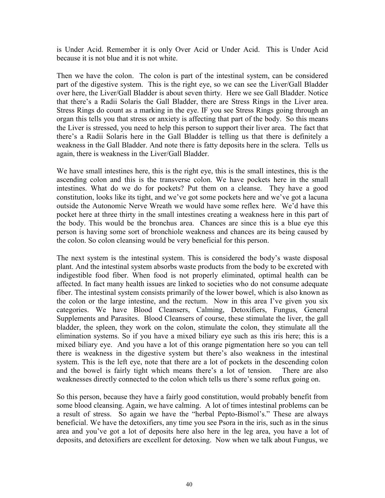is Under Acid. Remember it is only Over Acid or Under Acid. This is Under Acid because it is not blue and it is not white.

Then we have the colon. The colon is part of the intestinal system, can be considered part of the digestive system. This is the right eye, so we can see the Liver/Gall Bladder over here, the Liver/Gall Bladder is about seven thirty. Here we see Gall Bladder. Notice that there's a Radii Solaris the Gall Bladder, there are Stress Rings in the Liver area. Stress Rings do count as a marking in the eye. IF you see Stress Rings going through an organ this tells you that stress or anxiety is affecting that part of the body. So this means the Liver is stressed, you need to help this person to support their liver area. The fact that there's a Radii Solaris here in the Gall Bladder is telling us that there is definitely a weakness in the Gall Bladder. And note there is fatty deposits here in the sclera. Tells us again, there is weakness in the Liver/Gall Bladder.

We have small intestines here, this is the right eye, this is the small intestines, this is the ascending colon and this is the transverse colon. We have pockets here in the small intestines. What do we do for pockets? Put them on a cleanse. They have a good constitution, looks like its tight, and we've got some pockets here and we've got a lacuna outside the Autonomic Nerve Wreath we would have some reflex here. We'd have this pocket here at three thirty in the small intestines creating a weakness here in this part of the body. This would be the bronchus area. Chances are since this is a blue eye this person is having some sort of bronchiole weakness and chances are its being caused by the colon. So colon cleansing would be very beneficial for this person.

The next system is the intestinal system. This is considered the body's waste disposal plant. And the intestinal system absorbs waste products from the body to be excreted with indigestible food fiber. When food is not properly eliminated, optimal health can be affected. In fact many health issues are linked to societies who do not consume adequate fiber. The intestinal system consists primarily of the lower bowel, which is also known as the colon or the large intestine, and the rectum. Now in this area I've given you six categories. We have Blood Cleansers, Calming, Detoxifiers, Fungus, General Supplements and Parasites. Blood Cleansers of course, these stimulate the liver, the gall bladder, the spleen, they work on the colon, stimulate the colon, they stimulate all the elimination systems. So if you have a mixed biliary eye such as this iris here; this is a mixed biliary eye. And you have a lot of this orange pigmentation here so you can tell there is weakness in the digestive system but there's also weakness in the intestinal system. This is the left eye, note that there are a lot of pockets in the descending colon and the bowel is fairly tight which means there's a lot of tension. There are also weaknesses directly connected to the colon which tells us there's some reflux going on.

So this person, because they have a fairly good constitution, would probably benefit from some blood cleansing. Again, we have calming. A lot of times intestinal problems can be a result of stress. So again we have the "herbal Pepto-Bismol's." These are always beneficial. We have the detoxifiers, any time you see Psora in the iris, such as in the sinus area and you've got a lot of deposits here also here in the leg area, you have a lot of deposits, and detoxifiers are excellent for detoxing. Now when we talk about Fungus, we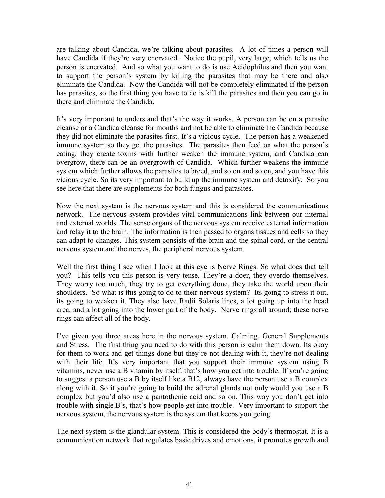are talking about Candida, we're talking about parasites. A lot of times a person will have Candida if they're very enervated. Notice the pupil, very large, which tells us the person is enervated. And so what you want to do is use Acidophilus and then you want to support the person's system by killing the parasites that may be there and also eliminate the Candida. Now the Candida will not be completely eliminated if the person has parasites, so the first thing you have to do is kill the parasites and then you can go in there and eliminate the Candida.

It's very important to understand that's the way it works. A person can be on a parasite cleanse or a Candida cleanse for months and not be able to eliminate the Candida because they did not eliminate the parasites first. It's a vicious cycle. The person has a weakened immune system so they get the parasites. The parasites then feed on what the person's eating, they create toxins with further weaken the immune system, and Candida can overgrow, there can be an overgrowth of Candida. Which further weakens the immune system which further allows the parasites to breed, and so on and so on, and you have this vicious cycle. So its very important to build up the immune system and detoxify. So you see here that there are supplements for both fungus and parasites.

Now the next system is the nervous system and this is considered the communications network. The nervous system provides vital communications link between our internal and external worlds. The sense organs of the nervous system receive external information and relay it to the brain. The information is then passed to organs tissues and cells so they can adapt to changes. This system consists of the brain and the spinal cord, or the central nervous system and the nerves, the peripheral nervous system.

Well the first thing I see when I look at this eye is Nerve Rings. So what does that tell you? This tells you this person is very tense. They're a doer, they overdo themselves. They worry too much, they try to get everything done, they take the world upon their shoulders. So what is this going to do to their nervous system? Its going to stress it out, its going to weaken it. They also have Radii Solaris lines, a lot going up into the head area, and a lot going into the lower part of the body. Nerve rings all around; these nerve rings can affect all of the body.

I've given you three areas here in the nervous system, Calming, General Supplements and Stress. The first thing you need to do with this person is calm them down. Its okay for them to work and get things done but they're not dealing with it, they're not dealing with their life. It's very important that you support their immune system using B vitamins, never use a B vitamin by itself, that's how you get into trouble. If you're going to suggest a person use a B by itself like a B12, always have the person use a B complex along with it. So if you're going to build the adrenal glands not only would you use a B complex but you'd also use a pantothenic acid and so on. This way you don't get into trouble with single B's, that's how people get into trouble. Very important to support the nervous system, the nervous system is the system that keeps you going.

The next system is the glandular system. This is considered the body's thermostat. It is a communication network that regulates basic drives and emotions, it promotes growth and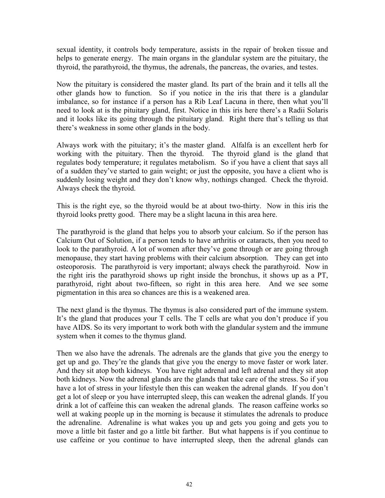sexual identity, it controls body temperature, assists in the repair of broken tissue and helps to generate energy. The main organs in the glandular system are the pituitary, the thyroid, the parathyroid, the thymus, the adrenals, the pancreas, the ovaries, and testes.

Now the pituitary is considered the master gland. Its part of the brain and it tells all the other glands how to function. So if you notice in the iris that there is a glandular imbalance, so for instance if a person has a Rib Leaf Lacuna in there, then what you'll need to look at is the pituitary gland, first. Notice in this iris here there's a Radii Solaris and it looks like its going through the pituitary gland. Right there that's telling us that there's weakness in some other glands in the body.

Always work with the pituitary; it's the master gland. Alfalfa is an excellent herb for working with the pituitary. Then the thyroid. The thyroid gland is the gland that regulates body temperature; it regulates metabolism. So if you have a client that says all of a sudden they've started to gain weight; or just the opposite, you have a client who is suddenly losing weight and they don't know why, nothings changed. Check the thyroid. Always check the thyroid.

This is the right eye, so the thyroid would be at about two-thirty. Now in this iris the thyroid looks pretty good. There may be a slight lacuna in this area here.

The parathyroid is the gland that helps you to absorb your calcium. So if the person has Calcium Out of Solution, if a person tends to have arthritis or cataracts, then you need to look to the parathyroid. A lot of women after they've gone through or are going through menopause, they start having problems with their calcium absorption. They can get into osteoporosis. The parathyroid is very important; always check the parathyroid. Now in the right iris the parathyroid shows up right inside the bronchus, it shows up as a PT, parathyroid, right about two-fifteen, so right in this area here. And we see some pigmentation in this area so chances are this is a weakened area.

The next gland is the thymus. The thymus is also considered part of the immune system. It's the gland that produces your T cells. The T cells are what you don't produce if you have AIDS. So its very important to work both with the glandular system and the immune system when it comes to the thymus gland.

Then we also have the adrenals. The adrenals are the glands that give you the energy to get up and go. They're the glands that give you the energy to move faster or work later. And they sit atop both kidneys. You have right adrenal and left adrenal and they sit atop both kidneys. Now the adrenal glands are the glands that take care of the stress. So if you have a lot of stress in your lifestyle then this can weaken the adrenal glands. If you don't get a lot of sleep or you have interrupted sleep, this can weaken the adrenal glands. If you drink a lot of caffeine this can weaken the adrenal glands. The reason caffeine works so well at waking people up in the morning is because it stimulates the adrenals to produce the adrenaline. Adrenaline is what wakes you up and gets you going and gets you to move a little bit faster and go a little bit farther. But what happens is if you continue to use caffeine or you continue to have interrupted sleep, then the adrenal glands can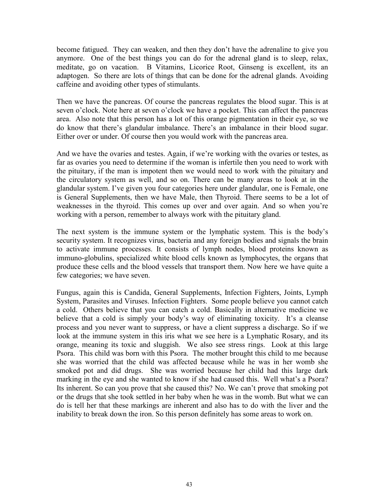become fatigued. They can weaken, and then they don't have the adrenaline to give you anymore. One of the best things you can do for the adrenal gland is to sleep, relax, meditate, go on vacation. B Vitamins, Licorice Root, Ginseng is excellent, its an adaptogen. So there are lots of things that can be done for the adrenal glands. Avoiding caffeine and avoiding other types of stimulants.

Then we have the pancreas. Of course the pancreas regulates the blood sugar. This is at seven o'clock. Note here at seven o'clock we have a pocket. This can affect the pancreas area. Also note that this person has a lot of this orange pigmentation in their eye, so we do know that there's glandular imbalance. There's an imbalance in their blood sugar. Either over or under. Of course then you would work with the pancreas area.

And we have the ovaries and testes. Again, if we're working with the ovaries or testes, as far as ovaries you need to determine if the woman is infertile then you need to work with the pituitary, if the man is impotent then we would need to work with the pituitary and the circulatory system as well, and so on. There can be many areas to look at in the glandular system. I've given you four categories here under glandular, one is Female, one is General Supplements, then we have Male, then Thyroid. There seems to be a lot of weaknesses in the thyroid. This comes up over and over again. And so when you're working with a person, remember to always work with the pituitary gland.

The next system is the immune system or the lymphatic system. This is the body's security system. It recognizes virus, bacteria and any foreign bodies and signals the brain to activate immune processes. It consists of lymph nodes, blood proteins known as immuno-globulins, specialized white blood cells known as lymphocytes, the organs that produce these cells and the blood vessels that transport them. Now here we have quite a few categories; we have seven.

Fungus, again this is Candida, General Supplements, Infection Fighters, Joints, Lymph System, Parasites and Viruses. Infection Fighters. Some people believe you cannot catch a cold. Others believe that you can catch a cold. Basically in alternative medicine we believe that a cold is simply your body's way of eliminating toxicity. It's a cleanse process and you never want to suppress, or have a client suppress a discharge. So if we look at the immune system in this iris what we see here is a Lymphatic Rosary, and its orange, meaning its toxic and sluggish. We also see stress rings. Look at this large Psora. This child was born with this Psora. The mother brought this child to me because she was worried that the child was affected because while he was in her womb she smoked pot and did drugs. She was worried because her child had this large dark marking in the eye and she wanted to know if she had caused this. Well what's a Psora? Its inherent. So can you prove that she caused this? No. We can't prove that smoking pot or the drugs that she took settled in her baby when he was in the womb. But what we can do is tell her that these markings are inherent and also has to do with the liver and the inability to break down the iron. So this person definitely has some areas to work on.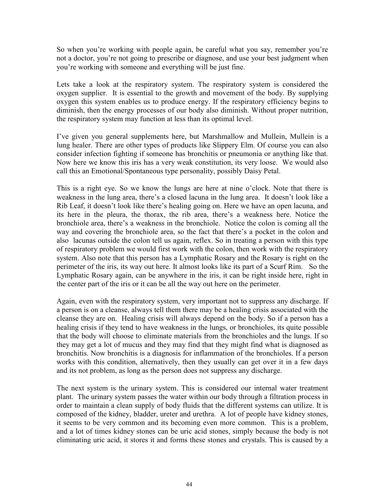So when you're working with people again, be careful what you say, remember you're not a doctor, you're not going to prescribe or diagnose, and use your best judgment when you're working with someone and everything will be just fine.

Lets take a look at the respiratory system. The respiratory system is considered the oxygen supplier. It is essential to the growth and movement of the body. By supplying oxygen this system enables us to produce energy. If the respiratory efficiency begins to diminish, then the energy processes of our body also diminish. Without proper nutrition, the respiratory system may function at less than its optimal level.

I've given you general supplements here, but Marshmallow and Mullein, Mullein is a lung healer. There are other types of products like Slippery Elm. Of course you can also consider infection fighting if someone has bronchitis or pneumonia or anything like that. Now here we know this iris has a very weak constitution, its very loose. We would also call this an Emotional/Spontaneous type personality, possibly Daisy Petal.

This is a right eye. So we know the lungs are here at nine o'clock. Note that there is weakness in the lung area, there's a closed lacuna in the lung area. It doesn't look like a Rib Leaf, it doesn't look like there's healing going on. Here we have an open lacuna, and its here in the pleura, the thorax, the rib area, there's a weakness here. Notice the bronchiole area, there's a weakness in the bronchiole. Notice the colon is coming all the way and covering the bronchiole area, so the fact that there's a pocket in the colon and also lacunas outside the colon tell us again, reflex. So in treating a person with this type of respiratory problem we would first work with the colon, then work with the respiratory system. Also note that this person has a Lymphatic Rosary and the Rosary is right on the perimeter of the iris, its way out here. It almost looks like its part of a Scurf Rim. So the Lymphatic Rosary again, can be anywhere in the iris, it can be right inside here, right in the center part of the iris or it can be all the way out here on the perimeter.

Again, even with the respiratory system, very important not to suppress any discharge. If a person is on a cleanse, always tell them there may be a healing crisis associated with the cleanse they are on. Healing crisis will always depend on the body. So if a person has a healing crisis if they tend to have weakness in the lungs, or bronchioles, its quite possible that the body will choose to eliminate materials from the bronchioles and the lungs. If so they may get a lot of mucus and they may find that they might find what is diagnosed as bronchitis. Now bronchitis is a diagnosis for inflammation of the bronchioles. If a person works with this condition, alternatively, then they usually can get over it in a few days and its not problem, as long as the person does not suppress any discharge.

The next system is the urinary system. This is considered our internal water treatment plant. The urinary system passes the water within our body through a filtration process in order to maintain a clean supply of body fluids that the different systems can utilize. It is composed of the kidney, bladder, ureter and urethra. A lot of people have kidney stones, it seems to be very common and its becoming even more common. This is a problem, and a lot of times kidney stones can be uric acid stones, simply because the body is not eliminating uric acid, it stores it and forms these stones and crystals. This is caused by a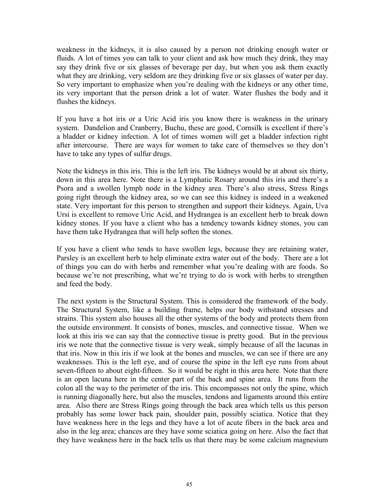weakness in the kidneys, it is also caused by a person not drinking enough water or fluids. A lot of times you can talk to your client and ask how much they drink, they may say they drink five or six glasses of beverage per day, but when you ask them exactly what they are drinking, very seldom are they drinking five or six glasses of water per day. So very important to emphasize when you're dealing with the kidneys or any other time, its very important that the person drink a lot of water. Water flushes the body and it flushes the kidneys.

If you have a hot iris or a Uric Acid iris you know there is weakness in the urinary system. Dandelion and Cranberry, Buchu, these are good, Cornsilk is excellent if there's a bladder or kidney infection. A lot of times women will get a bladder infection right after intercourse. There are ways for women to take care of themselves so they don't have to take any types of sulfur drugs.

Note the kidneys in this iris. This is the left iris. The kidneys would be at about six thirty, down in this area here. Note there is a Lymphatic Rosary around this iris and there's a Psora and a swollen lymph node in the kidney area. There's also stress, Stress Rings going right through the kidney area, so we can see this kidney is indeed in a weakened state. Very important for this person to strengthen and support their kidneys. Again, Uva Ursi is excellent to remove Uric Acid, and Hydrangea is an excellent herb to break down kidney stones. If you have a client who has a tendency towards kidney stones, you can have them take Hydrangea that will help soften the stones.

If you have a client who tends to have swollen legs, because they are retaining water, Parsley is an excellent herb to help eliminate extra water out of the body. There are a lot of things you can do with herbs and remember what you're dealing with are foods. So because we're not prescribing, what we're trying to do is work with herbs to strengthen and feed the body.

The next system is the Structural System. This is considered the framework of the body. The Structural System, like a building frame, helps our body withstand stresses and strains. This system also houses all the other systems of the body and protects them from the outside environment. It consists of bones, muscles, and connective tissue. When we look at this iris we can say that the connective tissue is pretty good. But in the previous iris we note that the connective tissue is very weak, simply because of all the lacunas in that iris. Now in this iris if we look at the bones and muscles, we can see if there are any weaknesses. This is the left eye, and of course the spine in the left eye runs from about seven-fifteen to about eight-fifteen. So it would be right in this area here. Note that there is an open lacuna here in the center part of the back and spine area. It runs from the colon all the way to the perimeter of the iris. This encompasses not only the spine, which is running diagonally here, but also the muscles, tendons and ligaments around this entire area. Also there are Stress Rings going through the back area which tells us this person probably has some lower back pain, shoulder pain, possibly sciatica. Notice that they have weakness here in the legs and they have a lot of acute fibers in the back area and also in the leg area; chances are they have some sciatica going on here. Also the fact that they have weakness here in the back tells us that there may be some calcium magnesium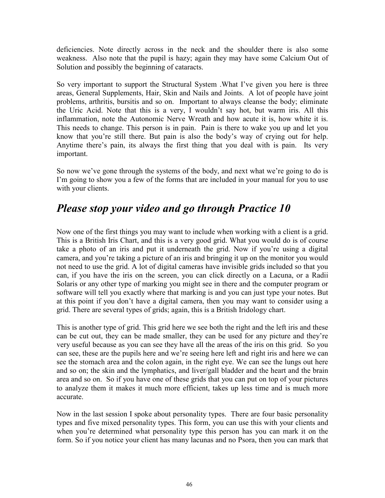deficiencies. Note directly across in the neck and the shoulder there is also some weakness. Also note that the pupil is hazy; again they may have some Calcium Out of Solution and possibly the beginning of cataracts.

So very important to support the Structural System .What I've given you here is three areas, General Supplements, Hair, Skin and Nails and Joints. A lot of people have joint problems, arthritis, bursitis and so on. Important to always cleanse the body; eliminate the Uric Acid. Note that this is a very, I wouldn't say hot, but warm iris. All this inflammation, note the Autonomic Nerve Wreath and how acute it is, how white it is. This needs to change. This person is in pain. Pain is there to wake you up and let you know that you're still there. But pain is also the body's way of crying out for help. Anytime there's pain, its always the first thing that you deal with is pain. Its very important.

So now we've gone through the systems of the body, and next what we're going to do is I'm going to show you a few of the forms that are included in your manual for you to use with your clients.

# *Please stop your video and go through Practice 10*

Now one of the first things you may want to include when working with a client is a grid. This is a British Iris Chart, and this is a very good grid. What you would do is of course take a photo of an iris and put it underneath the grid. Now if you're using a digital camera, and you're taking a picture of an iris and bringing it up on the monitor you would not need to use the grid. A lot of digital cameras have invisible grids included so that you can, if you have the iris on the screen, you can click directly on a Lacuna, or a Radii Solaris or any other type of marking you might see in there and the computer program or software will tell you exactly where that marking is and you can just type your notes. But at this point if you don't have a digital camera, then you may want to consider using a grid. There are several types of grids; again, this is a British Iridology chart.

This is another type of grid. This grid here we see both the right and the left iris and these can be cut out, they can be made smaller, they can be used for any picture and they're very useful because as you can see they have all the areas of the iris on this grid. So you can see, these are the pupils here and we're seeing here left and right iris and here we can see the stomach area and the colon again, in the right eye. We can see the lungs out here and so on; the skin and the lymphatics, and liver/gall bladder and the heart and the brain area and so on. So if you have one of these grids that you can put on top of your pictures to analyze them it makes it much more efficient, takes up less time and is much more accurate.

Now in the last session I spoke about personality types. There are four basic personality types and five mixed personality types. This form, you can use this with your clients and when you're determined what personality type this person has you can mark it on the form. So if you notice your client has many lacunas and no Psora, then you can mark that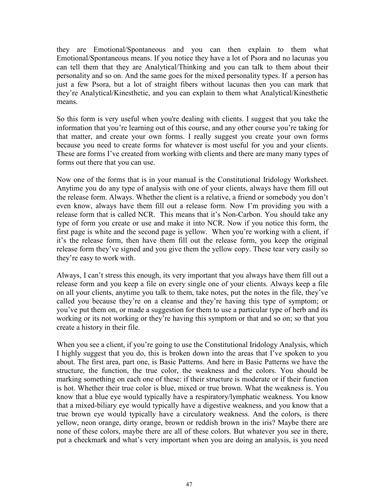they are Emotional/Spontaneous and you can then explain to them what Emotional/Spontaneous means. If you notice they have a lot of Psora and no lacunas you can tell them that they are Analytical/Thinking and you can talk to them about their personality and so on. And the same goes for the mixed personality types. If a person has just a few Psora, but a lot of straight fibers without lacunas then you can mark that they're Analytical/Kinesthetic, and you can explain to them what Analytical/Kinesthetic means.

So this form is very useful when you're dealing with clients. I suggest that you take the information that you're learning out of this course, and any other course you're taking for that matter, and create your own forms. I really suggest you create your own forms because you need to create forms for whatever is most useful for you and your clients. These are forms I've created from working with clients and there are many many types of forms out there that you can use.

Now one of the forms that is in your manual is the Constitutional Iridology Worksheet. Anytime you do any type of analysis with one of your clients, always have them fill out the release form. Always. Whether the client is a relative, a friend or somebody you don't even know, always have them fill out a release form. Now I'm providing you with a release form that is called NCR. This means that it's Non-Carbon. You should take any type of form you create or use and make it into NCR. Now if you notice this form, the first page is white and the second page is yellow. When you're working with a client, if it's the release form, then have them fill out the release form, you keep the original release form they've signed and you give them the yellow copy. These tear very easily so they're easy to work with.

Always, I can't stress this enough, its very important that you always have them fill out a release form and you keep a file on every single one of your clients. Always keep a file on all your clients, anytime you talk to them, take notes, put the notes in the file, they've called you because they're on a cleanse and they're having this type of symptom; or you've put them on, or made a suggestion for them to use a particular type of herb and its working or its not working or they're having this symptom or that and so on; so that you create a history in their file.

When you see a client, if you're going to use the Constitutional Iridology Analysis, which I highly suggest that you do, this is broken down into the areas that I've spoken to you about. The first area, part one, is Basic Patterns. And here in Basic Patterns we have the structure, the function, the true color, the weakness and the colors. You should be marking something on each one of these: if their structure is moderate or if their function is hot. Whether their true color is blue, mixed or true brown. What the weakness is. You know that a blue eye would typically have a respiratory/lymphatic weakness. You know that a mixed-biliary eye would typically have a digestive weakness, and you know that a true brown eye would typically have a circulatory weakness. And the colors, is there yellow, neon orange, dirty orange, brown or reddish brown in the iris? Maybe there are none of these colors, maybe there are all of these colors. But whatever you see in there, put a checkmark and what's very important when you are doing an analysis, is you need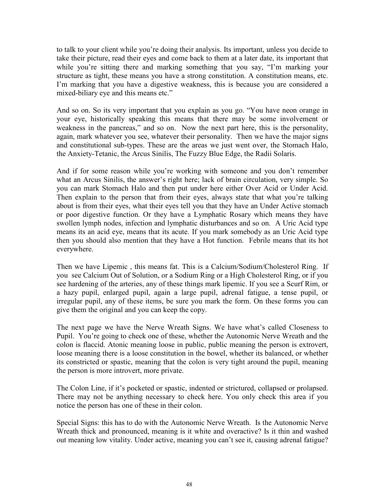to talk to your client while you're doing their analysis. Its important, unless you decide to take their picture, read their eyes and come back to them at a later date, its important that while you're sitting there and marking something that you say, "I'm marking your structure as tight, these means you have a strong constitution. A constitution means, etc. I'm marking that you have a digestive weakness, this is because you are considered a mixed-biliary eye and this means etc."

And so on. So its very important that you explain as you go. "You have neon orange in your eye, historically speaking this means that there may be some involvement or weakness in the pancreas," and so on. Now the next part here, this is the personality, again, mark whatever you see, whatever their personality. Then we have the major signs and constitutional sub-types. These are the areas we just went over, the Stomach Halo, the Anxiety-Tetanic, the Arcus Sinilis, The Fuzzy Blue Edge, the Radii Solaris.

And if for some reason while you're working with someone and you don't remember what an Arcus Sinilis, the answer's right here; lack of brain circulation, very simple. So you can mark Stomach Halo and then put under here either Over Acid or Under Acid. Then explain to the person that from their eyes, always state that what you're talking about is from their eyes, what their eyes tell you that they have an Under Active stomach or poor digestive function. Or they have a Lymphatic Rosary which means they have swollen lymph nodes, infection and lymphatic disturbances and so on. A Uric Acid type means its an acid eye, means that its acute. If you mark somebody as an Uric Acid type then you should also mention that they have a Hot function. Febrile means that its hot everywhere.

Then we have Lipemic , this means fat. This is a Calcium/Sodium/Cholesterol Ring. If you see Calcium Out of Solution, or a Sodium Ring or a High Cholesterol Ring, or if you see hardening of the arteries, any of these things mark lipemic. If you see a Scurf Rim, or a hazy pupil, enlarged pupil, again a large pupil, adrenal fatigue, a tense pupil, or irregular pupil, any of these items, be sure you mark the form. On these forms you can give them the original and you can keep the copy.

The next page we have the Nerve Wreath Signs. We have what's called Closeness to Pupil. You're going to check one of these, whether the Autonomic Nerve Wreath and the colon is flaccid. Atonic meaning loose in public, public meaning the person is extrovert, loose meaning there is a loose constitution in the bowel, whether its balanced, or whether its constricted or spastic, meaning that the colon is very tight around the pupil, meaning the person is more introvert, more private.

The Colon Line, if it's pocketed or spastic, indented or strictured, collapsed or prolapsed. There may not be anything necessary to check here. You only check this area if you notice the person has one of these in their colon.

Special Signs: this has to do with the Autonomic Nerve Wreath. Is the Autonomic Nerve Wreath thick and pronounced, meaning is it white and overactive? Is it thin and washed out meaning low vitality. Under active, meaning you can't see it, causing adrenal fatigue?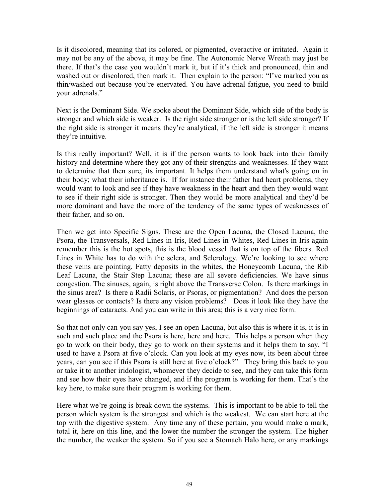Is it discolored, meaning that its colored, or pigmented, overactive or irritated. Again it may not be any of the above, it may be fine. The Autonomic Nerve Wreath may just be there. If that's the case you wouldn't mark it, but if it's thick and pronounced, thin and washed out or discolored, then mark it. Then explain to the person: "I've marked you as thin/washed out because you're enervated. You have adrenal fatigue, you need to build your adrenals."

Next is the Dominant Side. We spoke about the Dominant Side, which side of the body is stronger and which side is weaker. Is the right side stronger or is the left side stronger? If the right side is stronger it means they're analytical, if the left side is stronger it means they're intuitive.

Is this really important? Well, it is if the person wants to look back into their family history and determine where they got any of their strengths and weaknesses. If they want to determine that then sure, its important. It helps them understand what's going on in their body; what their inheritance is. If for instance their father had heart problems, they would want to look and see if they have weakness in the heart and then they would want to see if their right side is stronger. Then they would be more analytical and they'd be more dominant and have the more of the tendency of the same types of weaknesses of their father, and so on.

Then we get into Specific Signs. These are the Open Lacuna, the Closed Lacuna, the Psora, the Transversals, Red Lines in Iris, Red Lines in Whites, Red Lines in Iris again remember this is the hot spots, this is the blood vessel that is on top of the fibers. Red Lines in White has to do with the sclera, and Sclerology. We're looking to see where these veins are pointing. Fatty deposits in the whites, the Honeycomb Lacuna, the Rib Leaf Lacuna, the Stair Step Lacuna; these are all severe deficiencies. We have sinus congestion. The sinuses, again, is right above the Transverse Colon. Is there markings in the sinus area? Is there a Radii Solaris, or Psoras, or pigmentation? And does the person wear glasses or contacts? Is there any vision problems? Does it look like they have the beginnings of cataracts. And you can write in this area; this is a very nice form.

So that not only can you say yes, I see an open Lacuna, but also this is where it is, it is in such and such place and the Psora is here, here and here. This helps a person when they go to work on their body, they go to work on their systems and it helps them to say, "I used to have a Psora at five o'clock. Can you look at my eyes now, its been about three years, can you see if this Psora is still here at five o'clock?" They bring this back to you or take it to another iridologist, whomever they decide to see, and they can take this form and see how their eyes have changed, and if the program is working for them. That's the key here, to make sure their program is working for them.

Here what we're going is break down the systems. This is important to be able to tell the person which system is the strongest and which is the weakest. We can start here at the top with the digestive system. Any time any of these pertain, you would make a mark, total it, here on this line, and the lower the number the stronger the system. The higher the number, the weaker the system. So if you see a Stomach Halo here, or any markings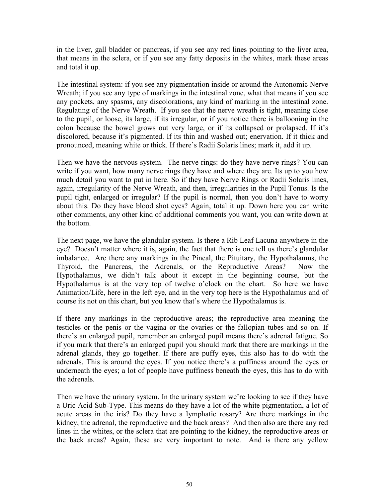in the liver, gall bladder or pancreas, if you see any red lines pointing to the liver area, that means in the sclera, or if you see any fatty deposits in the whites, mark these areas and total it up.

The intestinal system: if you see any pigmentation inside or around the Autonomic Nerve Wreath; if you see any type of markings in the intestinal zone, what that means if you see any pockets, any spasms, any discolorations, any kind of marking in the intestinal zone. Regulating of the Nerve Wreath. If you see that the nerve wreath is tight, meaning close to the pupil, or loose, its large, if its irregular, or if you notice there is ballooning in the colon because the bowel grows out very large, or if its collapsed or prolapsed. If it's discolored, because it's pigmented. If its thin and washed out; enervation. If it thick and pronounced, meaning white or thick. If there's Radii Solaris lines; mark it, add it up.

Then we have the nervous system. The nerve rings: do they have nerve rings? You can write if you want, how many nerve rings they have and where they are. Its up to you how much detail you want to put in here. So if they have Nerve Rings or Radii Solaris lines, again, irregularity of the Nerve Wreath, and then, irregularities in the Pupil Tonus. Is the pupil tight, enlarged or irregular? If the pupil is normal, then you don't have to worry about this. Do they have blood shot eyes? Again, total it up. Down here you can write other comments, any other kind of additional comments you want, you can write down at the bottom.

The next page, we have the glandular system. Is there a Rib Leaf Lacuna anywhere in the eye? Doesn't matter where it is, again, the fact that there is one tell us there's glandular imbalance. Are there any markings in the Pineal, the Pituitary, the Hypothalamus, the Thyroid, the Pancreas, the Adrenals, or the Reproductive Areas? Now the Hypothalamus, we didn't talk about it except in the beginning course, but the Hypothalamus is at the very top of twelve o'clock on the chart. So here we have Animation/Life, here in the left eye, and in the very top here is the Hypothalamus and of course its not on this chart, but you know that's where the Hypothalamus is.

If there any markings in the reproductive areas; the reproductive area meaning the testicles or the penis or the vagina or the ovaries or the fallopian tubes and so on. If there's an enlarged pupil, remember an enlarged pupil means there's adrenal fatigue. So if you mark that there's an enlarged pupil you should mark that there are markings in the adrenal glands, they go together. If there are puffy eyes, this also has to do with the adrenals. This is around the eyes. If you notice there's a puffiness around the eyes or underneath the eyes; a lot of people have puffiness beneath the eyes, this has to do with the adrenals.

Then we have the urinary system. In the urinary system we're looking to see if they have a Uric Acid Sub-Type. This means do they have a lot of the white pigmentation, a lot of acute areas in the iris? Do they have a lymphatic rosary? Are there markings in the kidney, the adrenal, the reproductive and the back areas? And then also are there any red lines in the whites, or the sclera that are pointing to the kidney, the reproductive areas or the back areas? Again, these are very important to note. And is there any yellow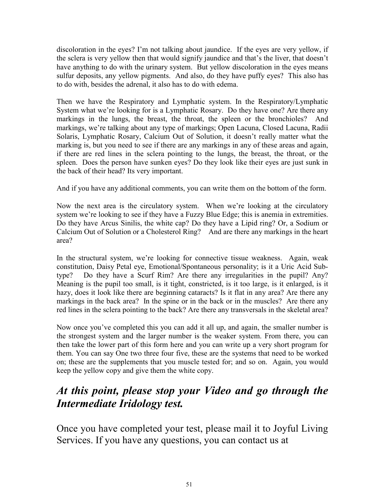discoloration in the eyes? I'm not talking about jaundice. If the eyes are very yellow, if the sclera is very yellow then that would signify jaundice and that's the liver, that doesn't have anything to do with the urinary system. But yellow discoloration in the eyes means sulfur deposits, any yellow pigments. And also, do they have puffy eyes? This also has to do with, besides the adrenal, it also has to do with edema.

Then we have the Respiratory and Lymphatic system. In the Respiratory/Lymphatic System what we're looking for is a Lymphatic Rosary. Do they have one? Are there any markings in the lungs, the breast, the throat, the spleen or the bronchioles? And markings, we're talking about any type of markings; Open Lacuna, Closed Lacuna, Radii Solaris, Lymphatic Rosary, Calcium Out of Solution, it doesn't really matter what the marking is, but you need to see if there are any markings in any of these areas and again, if there are red lines in the sclera pointing to the lungs, the breast, the throat, or the spleen. Does the person have sunken eyes? Do they look like their eyes are just sunk in the back of their head? Its very important.

And if you have any additional comments, you can write them on the bottom of the form.

Now the next area is the circulatory system. When we're looking at the circulatory system we're looking to see if they have a Fuzzy Blue Edge; this is anemia in extremities. Do they have Arcus Sinilis, the white cap? Do they have a Lipid ring? Or, a Sodium or Calcium Out of Solution or a Cholesterol Ring? And are there any markings in the heart area?

In the structural system, we're looking for connective tissue weakness. Again, weak constitution, Daisy Petal eye, Emotional/Spontaneous personality; is it a Uric Acid Subtype? Do they have a Scurf Rim? Are there any irregularities in the pupil? Any? Meaning is the pupil too small, is it tight, constricted, is it too large, is it enlarged, is it hazy, does it look like there are beginning cataracts? Is it flat in any area? Are there any markings in the back area? In the spine or in the back or in the muscles? Are there any red lines in the sclera pointing to the back? Are there any transversals in the skeletal area?

Now once you've completed this you can add it all up, and again, the smaller number is the strongest system and the larger number is the weaker system. From there, you can then take the lower part of this form here and you can write up a very short program for them. You can say One two three four five, these are the systems that need to be worked on; these are the supplements that you muscle tested for; and so on. Again, you would keep the yellow copy and give them the white copy.

# *At this point, please stop your Video and go through the Intermediate Iridology test.*

Once you have completed your test, please mail it to Joyful Living Services. If you have any questions, you can contact us at